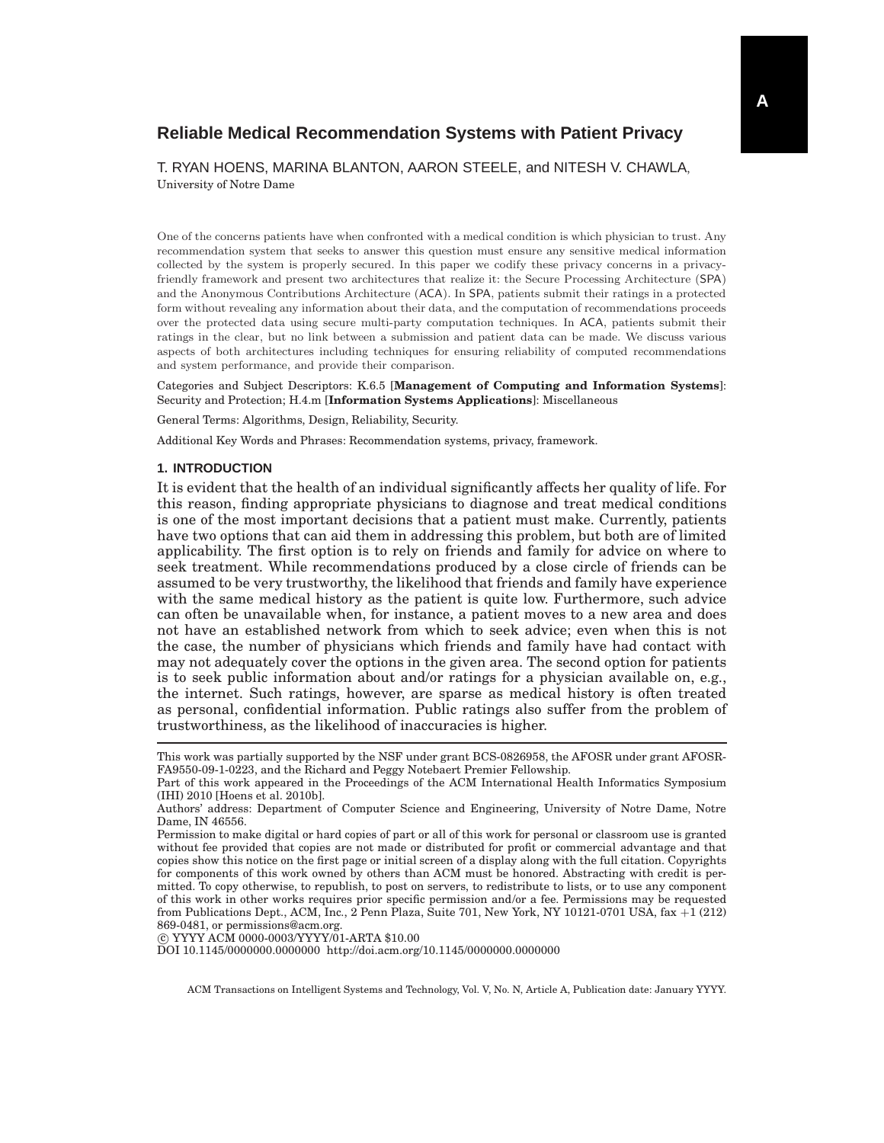# **Reliable Medical Recommendation Systems with Patient Privacy**

T. RYAN HOENS, MARINA BLANTON, AARON STEELE, and NITESH V. CHAWLA, University of Notre Dame

One of the concerns patients have when confronted with a medical condition is which physician to trust. Any recommendation system that seeks to answer this question must ensure any sensitive medical information collected by the system is properly secured. In this paper we codify these privacy concerns in a privacyfriendly framework and present two architectures that realize it: the Secure Processing Architecture (SPA) and the Anonymous Contributions Architecture (ACA). In SPA, patients submit their ratings in a protected form without revealing any information about their data, and the computation of recommendations proceeds over the protected data using secure multi-party computation techniques. In ACA, patients submit their ratings in the clear, but no link between a submission and patient data can be made. We discuss various aspects of both architectures including techniques for ensuring reliability of computed recommendations and system performance, and provide their comparison.

Categories and Subject Descriptors: K.6.5 [**Management of Computing and Information Systems**]: Security and Protection; H.4.m [**Information Systems Applications**]: Miscellaneous

General Terms: Algorithms, Design, Reliability, Security.

Additional Key Words and Phrases: Recommendation systems, privacy, framework.

#### **1. INTRODUCTION**

It is evident that the health of an individual significantly affects her quality of life. For this reason, finding appropriate physicians to diagnose and treat medical conditions is one of the most important decisions that a patient must make. Currently, patients have two options that can aid them in addressing this problem, but both are of limited applicability. The first option is to rely on friends and family for advice on where to seek treatment. While recommendations produced by a close circle of friends can be assumed to be very trustworthy, the likelihood that friends and family have experience with the same medical history as the patient is quite low. Furthermore, such advice can often be unavailable when, for instance, a patient moves to a new area and does not have an established network from which to seek advice; even when this is not the case, the number of physicians which friends and family have had contact with may not adequately cover the options in the given area. The second option for patients is to seek public information about and/or ratings for a physician available on, e.g., the internet. Such ratings, however, are sparse as medical history is often treated as personal, confidential information. Public ratings also suffer from the problem of trustworthiness, as the likelihood of inaccuracies is higher.

c YYYY ACM 0000-0003/YYYY/01-ARTA \$10.00

DOI 10.1145/0000000.0000000 http://doi.acm.org/10.1145/0000000.0000000

This work was partially supported by the NSF under grant BCS-0826958, the AFOSR under grant AFOSR-FA9550-09-1-0223, and the Richard and Peggy Notebaert Premier Fellowship.

Part of this work appeared in the Proceedings of the ACM International Health Informatics Symposium (IHI) 2010 [Hoens et al. 2010b].

Authors' address: Department of Computer Science and Engineering, University of Notre Dame, Notre Dame, IN 46556.

Permission to make digital or hard copies of part or all of this work for personal or classroom use is granted without fee provided that copies are not made or distributed for profit or commercial advantage and that copies show this notice on the first page or initial screen of a display along with the full citation. Copyrights for components of this work owned by others than ACM must be honored. Abstracting with credit is permitted. To copy otherwise, to republish, to post on servers, to redistribute to lists, or to use any component of this work in other works requires prior specific permission and/or a fee. Permissions may be requested from Publications Dept., ACM, Inc., 2 Penn Plaza, Suite 701, New York, NY 10121-0701 USA, fax +1 (212) 869-0481, or permissions@acm.org.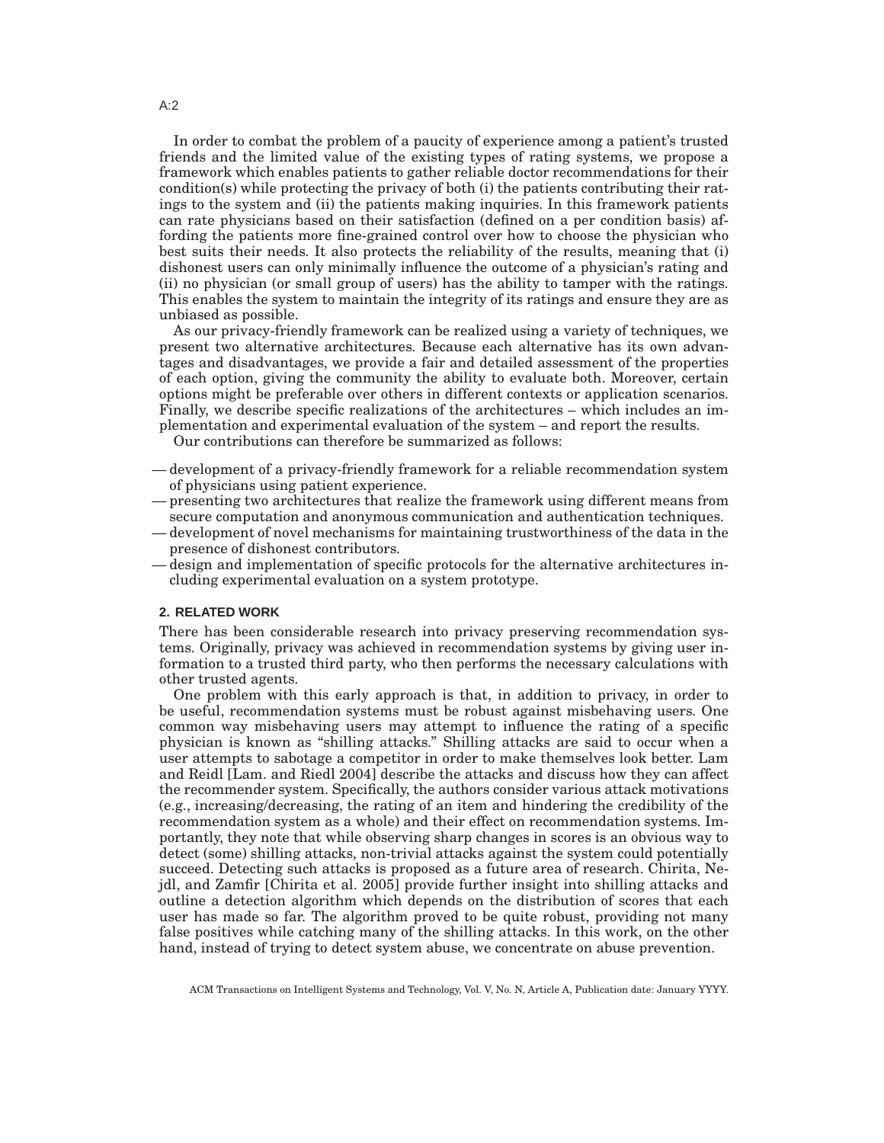In order to combat the problem of a paucity of experience among a patient's trusted friends and the limited value of the existing types of rating systems, we propose a framework which enables patients to gather reliable doctor recommendations for their condition(s) while protecting the privacy of both (i) the patients contributing their ratings to the system and (ii) the patients making inquiries. In this framework patients can rate physicians based on their satisfaction (defined on a per condition basis) affording the patients more fine-grained control over how to choose the physician who best suits their needs. It also protects the reliability of the results, meaning that (i) dishonest users can only minimally influence the outcome of a physician's rating and (ii) no physician (or small group of users) has the ability to tamper with the ratings. This enables the system to maintain the integrity of its ratings and ensure they are as unbiased as possible.

As our privacy-friendly framework can be realized using a variety of techniques, we present two alternative architectures. Because each alternative has its own advantages and disadvantages, we provide a fair and detailed assessment of the properties of each option, giving the community the ability to evaluate both. Moreover, certain options might be preferable over others in different contexts or application scenarios. Finally, we describe specific realizations of the architectures – which includes an implementation and experimental evaluation of the system – and report the results.

Our contributions can therefore be summarized as follows:

- development of a privacy-friendly framework for a reliable recommendation system of physicians using patient experience.
- presenting two architectures that realize the framework using different means from secure computation and anonymous communication and authentication techniques.
- development of novel mechanisms for maintaining trustworthiness of the data in the presence of dishonest contributors.
- design and implementation of specific protocols for the alternative architectures including experimental evaluation on a system prototype.

#### **2. RELATED WORK**

There has been considerable research into privacy preserving recommendation systems. Originally, privacy was achieved in recommendation systems by giving user information to a trusted third party, who then performs the necessary calculations with other trusted agents.

One problem with this early approach is that, in addition to privacy, in order to be useful, recommendation systems must be robust against misbehaving users. One common way misbehaving users may attempt to influence the rating of a specific physician is known as "shilling attacks." Shilling attacks are said to occur when a user attempts to sabotage a competitor in order to make themselves look better. Lam and Reidl [Lam. and Riedl 2004] describe the attacks and discuss how they can affect the recommender system. Specifically, the authors consider various attack motivations (e.g., increasing/decreasing, the rating of an item and hindering the credibility of the recommendation system as a whole) and their effect on recommendation systems. Importantly, they note that while observing sharp changes in scores is an obvious way to detect (some) shilling attacks, non-trivial attacks against the system could potentially succeed. Detecting such attacks is proposed as a future area of research. Chirita, Nejdl, and Zamfir [Chirita et al. 2005] provide further insight into shilling attacks and outline a detection algorithm which depends on the distribution of scores that each user has made so far. The algorithm proved to be quite robust, providing not many false positives while catching many of the shilling attacks. In this work, on the other hand, instead of trying to detect system abuse, we concentrate on abuse prevention.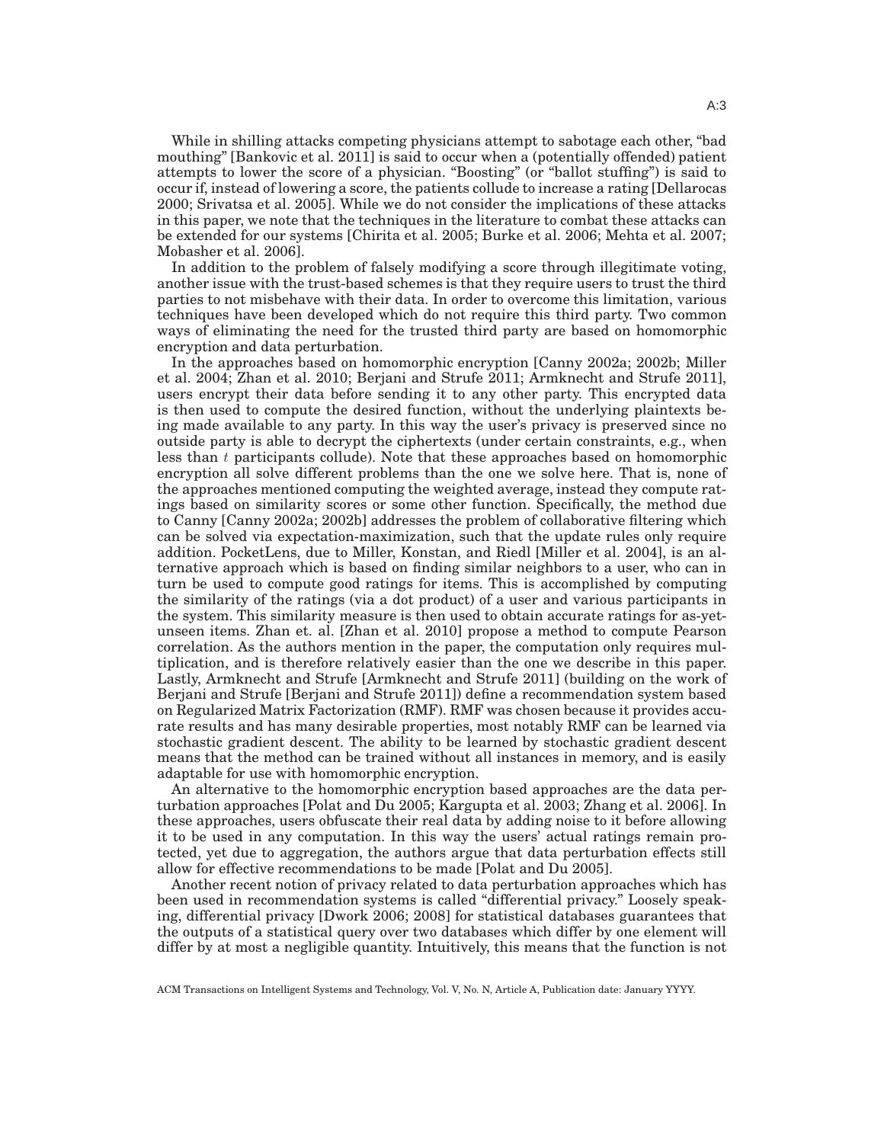While in shilling attacks competing physicians attempt to sabotage each other, "bad mouthing" [Bankovic et al. 2011] is said to occur when a (potentially offended) patient attempts to lower the score of a physician. "Boosting" (or "ballot stuffing") is said to occur if, instead of lowering a score, the patients collude to increase a rating [Dellarocas 2000; Srivatsa et al. 2005]. While we do not consider the implications of these attacks in this paper, we note that the techniques in the literature to combat these attacks can be extended for our systems [Chirita et al. 2005; Burke et al. 2006; Mehta et al. 2007; Mobasher et al. 2006].

In addition to the problem of falsely modifying a score through illegitimate voting, another issue with the trust-based schemes is that they require users to trust the third parties to not misbehave with their data. In order to overcome this limitation, various techniques have been developed which do not require this third party. Two common ways of eliminating the need for the trusted third party are based on homomorphic encryption and data perturbation.

In the approaches based on homomorphic encryption [Canny 2002a; 2002b; Miller et al. 2004; Zhan et al. 2010; Berjani and Strufe 2011; Armknecht and Strufe 2011], users encrypt their data before sending it to any other party. This encrypted data is then used to compute the desired function, without the underlying plaintexts being made available to any party. In this way the user's privacy is preserved since no outside party is able to decrypt the ciphertexts (under certain constraints, e.g., when less than t participants collude). Note that these approaches based on homomorphic encryption all solve different problems than the one we solve here. That is, none of the approaches mentioned computing the weighted average, instead they compute ratings based on similarity scores or some other function. Specifically, the method due to Canny [Canny 2002a; 2002b] addresses the problem of collaborative filtering which can be solved via expectation-maximization, such that the update rules only require addition. PocketLens, due to Miller, Konstan, and Riedl [Miller et al. 2004], is an alternative approach which is based on finding similar neighbors to a user, who can in turn be used to compute good ratings for items. This is accomplished by computing the similarity of the ratings (via a dot product) of a user and various participants in the system. This similarity measure is then used to obtain accurate ratings for as-yetunseen items. Zhan et. al. [Zhan et al. 2010] propose a method to compute Pearson correlation. As the authors mention in the paper, the computation only requires multiplication, and is therefore relatively easier than the one we describe in this paper. Lastly, Armknecht and Strufe [Armknecht and Strufe 2011] (building on the work of Berjani and Strufe [Berjani and Strufe 2011]) define a recommendation system based on Regularized Matrix Factorization (RMF). RMF was chosen because it provides accurate results and has many desirable properties, most notably RMF can be learned via stochastic gradient descent. The ability to be learned by stochastic gradient descent means that the method can be trained without all instances in memory, and is easily adaptable for use with homomorphic encryption.

An alternative to the homomorphic encryption based approaches are the data perturbation approaches [Polat and Du 2005; Kargupta et al. 2003; Zhang et al. 2006]. In these approaches, users obfuscate their real data by adding noise to it before allowing it to be used in any computation. In this way the users' actual ratings remain protected, yet due to aggregation, the authors argue that data perturbation effects still allow for effective recommendations to be made [Polat and Du 2005].

Another recent notion of privacy related to data perturbation approaches which has been used in recommendation systems is called "differential privacy." Loosely speaking, differential privacy [Dwork 2006; 2008] for statistical databases guarantees that the outputs of a statistical query over two databases which differ by one element will differ by at most a negligible quantity. Intuitively, this means that the function is not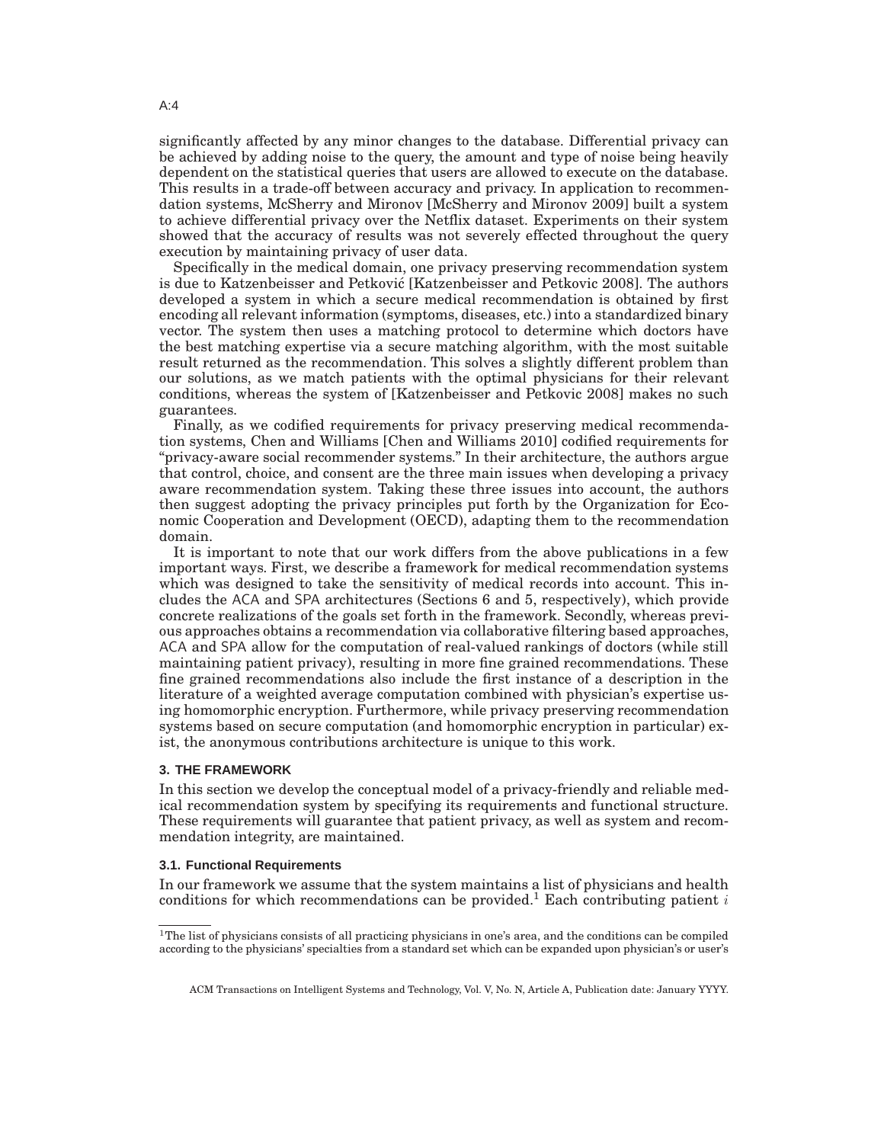significantly affected by any minor changes to the database. Differential privacy can be achieved by adding noise to the query, the amount and type of noise being heavily dependent on the statistical queries that users are allowed to execute on the database. This results in a trade-off between accuracy and privacy. In application to recommendation systems, McSherry and Mironov [McSherry and Mironov 2009] built a system to achieve differential privacy over the Netflix dataset. Experiments on their system showed that the accuracy of results was not severely effected throughout the query execution by maintaining privacy of user data.

Specifically in the medical domain, one privacy preserving recommendation system is due to Katzenbeisser and Petkovic [Katzenbeisser and Petkovic 2008]. The authors ´ developed a system in which a secure medical recommendation is obtained by first encoding all relevant information (symptoms, diseases, etc.) into a standardized binary vector. The system then uses a matching protocol to determine which doctors have the best matching expertise via a secure matching algorithm, with the most suitable result returned as the recommendation. This solves a slightly different problem than our solutions, as we match patients with the optimal physicians for their relevant conditions, whereas the system of [Katzenbeisser and Petkovic 2008] makes no such guarantees.

Finally, as we codified requirements for privacy preserving medical recommendation systems, Chen and Williams [Chen and Williams 2010] codified requirements for "privacy-aware social recommender systems." In their architecture, the authors argue that control, choice, and consent are the three main issues when developing a privacy aware recommendation system. Taking these three issues into account, the authors then suggest adopting the privacy principles put forth by the Organization for Economic Cooperation and Development (OECD), adapting them to the recommendation domain.

It is important to note that our work differs from the above publications in a few important ways. First, we describe a framework for medical recommendation systems which was designed to take the sensitivity of medical records into account. This includes the ACA and SPA architectures (Sections 6 and 5, respectively), which provide concrete realizations of the goals set forth in the framework. Secondly, whereas previous approaches obtains a recommendation via collaborative filtering based approaches, ACA and SPA allow for the computation of real-valued rankings of doctors (while still maintaining patient privacy), resulting in more fine grained recommendations. These fine grained recommendations also include the first instance of a description in the literature of a weighted average computation combined with physician's expertise using homomorphic encryption. Furthermore, while privacy preserving recommendation systems based on secure computation (and homomorphic encryption in particular) exist, the anonymous contributions architecture is unique to this work.

# **3. THE FRAMEWORK**

In this section we develop the conceptual model of a privacy-friendly and reliable medical recommendation system by specifying its requirements and functional structure. These requirements will guarantee that patient privacy, as well as system and recommendation integrity, are maintained.

### **3.1. Functional Requirements**

In our framework we assume that the system maintains a list of physicians and health conditions for which recommendations can be provided.<sup>1</sup> Each contributing patient  $i$ 

<sup>&</sup>lt;sup>1</sup>The list of physicians consists of all practicing physicians in one's area, and the conditions can be compiled according to the physicians' specialties from a standard set which can be expanded upon physician's or user's

ACM Transactions on Intelligent Systems and Technology, Vol. V, No. N, Article A, Publication date: January YYYY.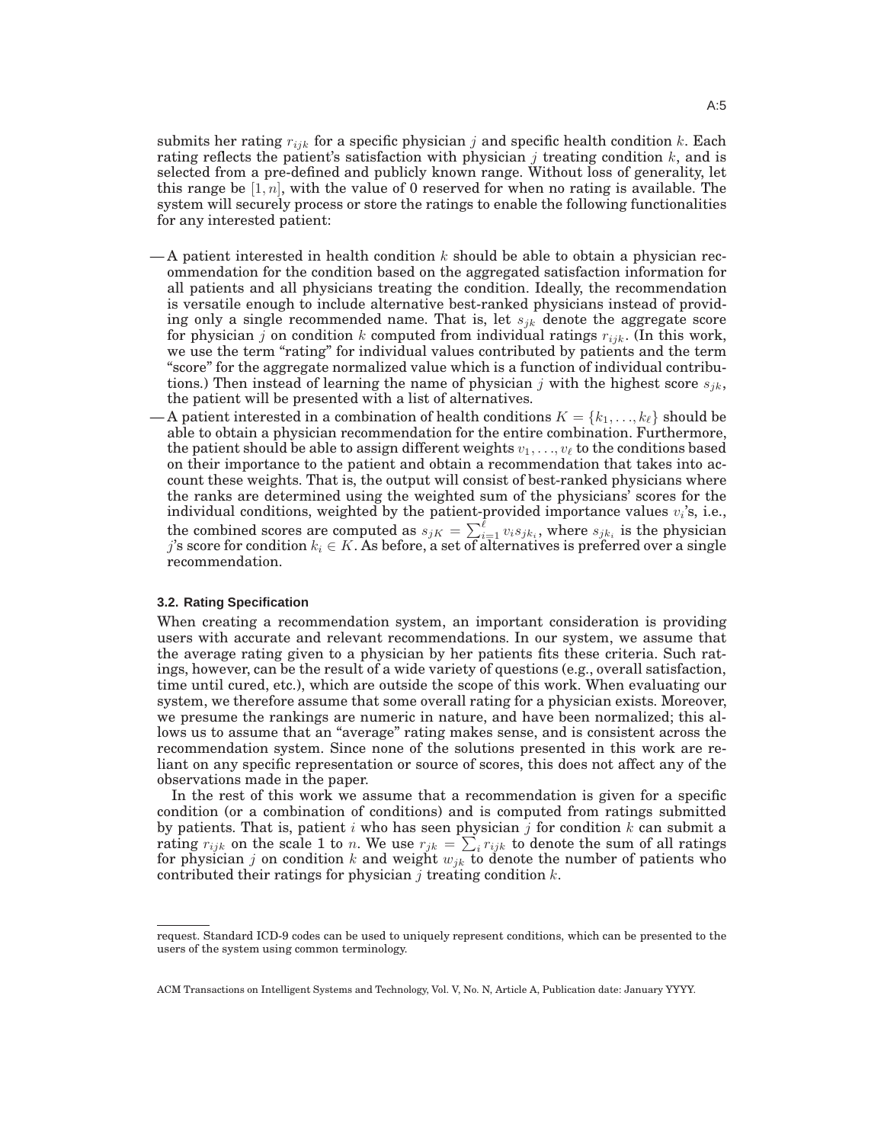submits her rating  $r_{ijk}$  for a specific physician j and specific health condition k. Each rating reflects the patient's satisfaction with physician  $j$  treating condition  $k$ , and is selected from a pre-defined and publicly known range. Without loss of generality, let this range be  $[1, n]$ , with the value of 0 reserved for when no rating is available. The system will securely process or store the ratings to enable the following functionalities for any interested patient:

- A patient interested in health condition  $k$  should be able to obtain a physician recommendation for the condition based on the aggregated satisfaction information for all patients and all physicians treating the condition. Ideally, the recommendation is versatile enough to include alternative best-ranked physicians instead of providing only a single recommended name. That is, let  $s_{ik}$  denote the aggregate score for physician j on condition k computed from individual ratings  $r_{ijk}$ . (In this work, we use the term "rating" for individual values contributed by patients and the term "score" for the aggregate normalized value which is a function of individual contributions.) Then instead of learning the name of physician j with the highest score  $s_{ik}$ , the patient will be presented with a list of alternatives.
- A patient interested in a combination of health conditions  $K = \{k_1, \ldots, k_\ell\}$  should be able to obtain a physician recommendation for the entire combination. Furthermore, the patient should be able to assign different weights  $v_1, \ldots, v_\ell$  to the conditions based on their importance to the patient and obtain a recommendation that takes into account these weights. That is, the output will consist of best-ranked physicians where the ranks are determined using the weighted sum of the physicians' scores for the individual conditions, weighted by the patient-provided importance values  $v_i$ 's, i.e., the combined scores are computed as  $s_{jK} = \sum_{i=1}^{\ell} v_i s_{jk_i}$ , where  $s_{jk_i}$  is the physician  $j$ 's score for condition  $k_i \in K.$  As before, a set of alternatives is preferred over a single recommendation.

# **3.2. Rating Specification**

When creating a recommendation system, an important consideration is providing users with accurate and relevant recommendations. In our system, we assume that the average rating given to a physician by her patients fits these criteria. Such ratings, however, can be the result of a wide variety of questions (e.g., overall satisfaction, time until cured, etc.), which are outside the scope of this work. When evaluating our system, we therefore assume that some overall rating for a physician exists. Moreover, we presume the rankings are numeric in nature, and have been normalized; this allows us to assume that an "average" rating makes sense, and is consistent across the recommendation system. Since none of the solutions presented in this work are reliant on any specific representation or source of scores, this does not affect any of the observations made in the paper.

In the rest of this work we assume that a recommendation is given for a specific condition (or a combination of conditions) and is computed from ratings submitted by patients. That is, patient i who has seen physician j for condition  $k$  can submit a rating  $r_{ijk}$  on the scale 1 to n. We use  $r_{jk} = \sum_i r_{ijk}$  to denote the sum of all ratings for physician j on condition k and weight  $w_{jk}$  to denote the number of patients who contributed their ratings for physician  $i$  treating condition  $k$ .

request. Standard ICD-9 codes can be used to uniquely represent conditions, which can be presented to the users of the system using common terminology.

ACM Transactions on Intelligent Systems and Technology, Vol. V, No. N, Article A, Publication date: January YYYY.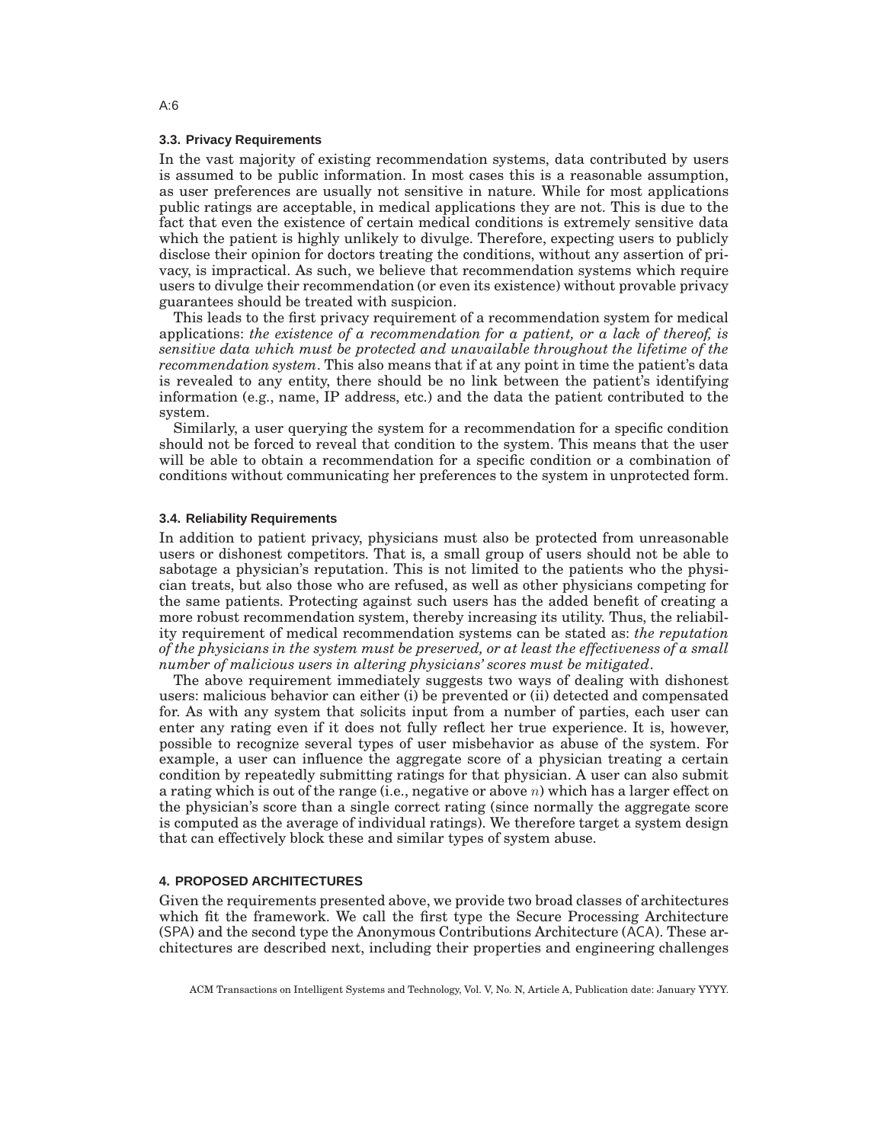### **3.3. Privacy Requirements**

In the vast majority of existing recommendation systems, data contributed by users is assumed to be public information. In most cases this is a reasonable assumption, as user preferences are usually not sensitive in nature. While for most applications public ratings are acceptable, in medical applications they are not. This is due to the fact that even the existence of certain medical conditions is extremely sensitive data which the patient is highly unlikely to divulge. Therefore, expecting users to publicly disclose their opinion for doctors treating the conditions, without any assertion of privacy, is impractical. As such, we believe that recommendation systems which require users to divulge their recommendation (or even its existence) without provable privacy guarantees should be treated with suspicion.

This leads to the first privacy requirement of a recommendation system for medical applications: *the existence of a recommendation for a patient, or a lack of thereof, is sensitive data which must be protected and unavailable throughout the lifetime of the recommendation system*. This also means that if at any point in time the patient's data is revealed to any entity, there should be no link between the patient's identifying information (e.g., name, IP address, etc.) and the data the patient contributed to the system.

Similarly, a user querying the system for a recommendation for a specific condition should not be forced to reveal that condition to the system. This means that the user will be able to obtain a recommendation for a specific condition or a combination of conditions without communicating her preferences to the system in unprotected form.

### **3.4. Reliability Requirements**

In addition to patient privacy, physicians must also be protected from unreasonable users or dishonest competitors. That is, a small group of users should not be able to sabotage a physician's reputation. This is not limited to the patients who the physician treats, but also those who are refused, as well as other physicians competing for the same patients. Protecting against such users has the added benefit of creating a more robust recommendation system, thereby increasing its utility. Thus, the reliability requirement of medical recommendation systems can be stated as: *the reputation of the physicians in the system must be preserved, or at least the effectiveness of a small number of malicious users in altering physicians' scores must be mitigated*.

The above requirement immediately suggests two ways of dealing with dishonest users: malicious behavior can either (i) be prevented or (ii) detected and compensated for. As with any system that solicits input from a number of parties, each user can enter any rating even if it does not fully reflect her true experience. It is, however, possible to recognize several types of user misbehavior as abuse of the system. For example, a user can influence the aggregate score of a physician treating a certain condition by repeatedly submitting ratings for that physician. A user can also submit a rating which is out of the range (i.e., negative or above  $n$ ) which has a larger effect on the physician's score than a single correct rating (since normally the aggregate score is computed as the average of individual ratings). We therefore target a system design that can effectively block these and similar types of system abuse.

# **4. PROPOSED ARCHITECTURES**

Given the requirements presented above, we provide two broad classes of architectures which fit the framework. We call the first type the Secure Processing Architecture (SPA) and the second type the Anonymous Contributions Architecture (ACA). These architectures are described next, including their properties and engineering challenges

ACM Transactions on Intelligent Systems and Technology, Vol. V, No. N, Article A, Publication date: January YYYY.

#### A:6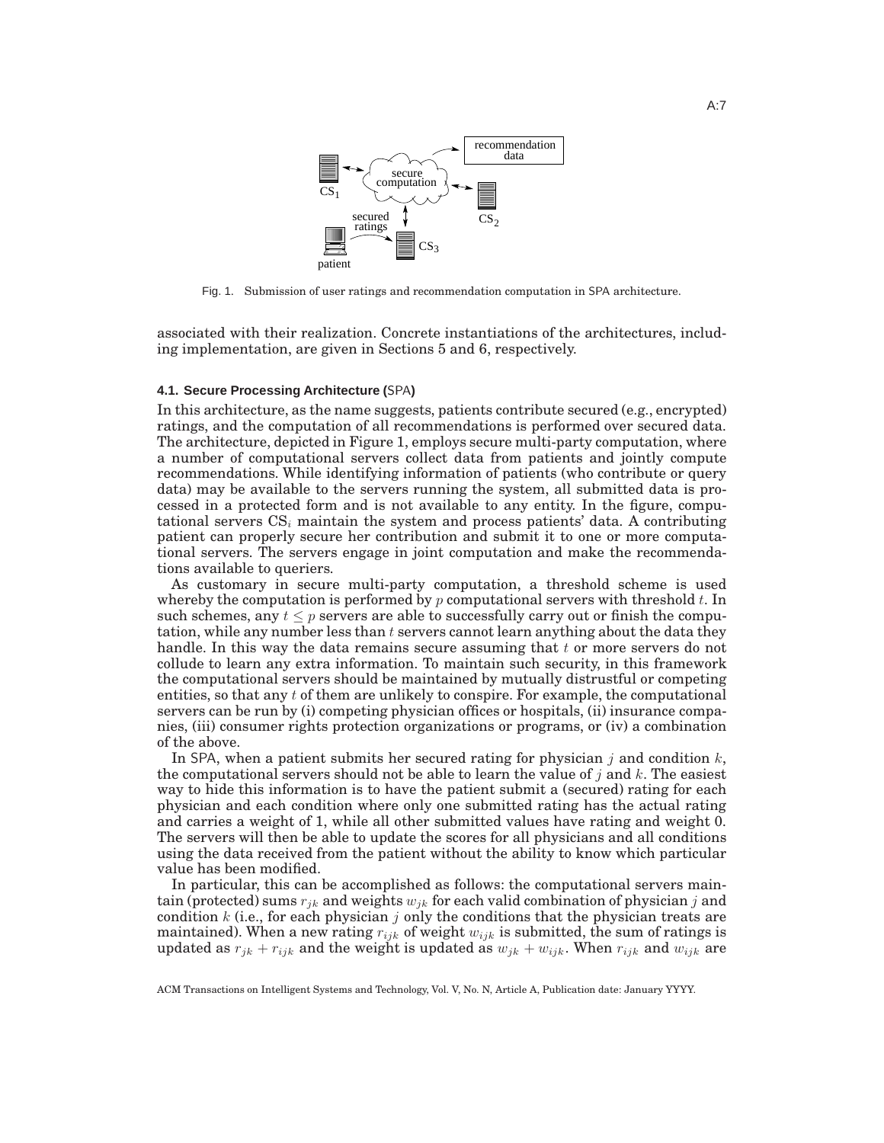

Fig. 1. Submission of user ratings and recommendation computation in SPA architecture.

associated with their realization. Concrete instantiations of the architectures, including implementation, are given in Sections 5 and 6, respectively.

### **4.1. Secure Processing Architecture (**SPA**)**

In this architecture, as the name suggests, patients contribute secured (e.g., encrypted) ratings, and the computation of all recommendations is performed over secured data. The architecture, depicted in Figure 1, employs secure multi-party computation, where a number of computational servers collect data from patients and jointly compute recommendations. While identifying information of patients (who contribute or query data) may be available to the servers running the system, all submitted data is processed in a protected form and is not available to any entity. In the figure, computational servers  $\text{CS}_i$  maintain the system and process patients' data. A contributing patient can properly secure her contribution and submit it to one or more computational servers. The servers engage in joint computation and make the recommendations available to queriers.

As customary in secure multi-party computation, a threshold scheme is used whereby the computation is performed by  $p$  computational servers with threshold  $t$ . In such schemes, any  $t \leq p$  servers are able to successfully carry out or finish the computation, while any number less than  $t$  servers cannot learn anything about the data they handle. In this way the data remains secure assuming that t or more servers do not collude to learn any extra information. To maintain such security, in this framework the computational servers should be maintained by mutually distrustful or competing entities, so that any  $t$  of them are unlikely to conspire. For example, the computational servers can be run by (i) competing physician offices or hospitals, (ii) insurance companies, (iii) consumer rights protection organizations or programs, or (iv) a combination of the above.

In SPA, when a patient submits her secured rating for physician  $j$  and condition  $k$ , the computational servers should not be able to learn the value of j and k. The easiest way to hide this information is to have the patient submit a (secured) rating for each physician and each condition where only one submitted rating has the actual rating and carries a weight of 1, while all other submitted values have rating and weight 0. The servers will then be able to update the scores for all physicians and all conditions using the data received from the patient without the ability to know which particular value has been modified.

In particular, this can be accomplished as follows: the computational servers maintain (protected) sums  $r_{ik}$  and weights  $w_{ik}$  for each valid combination of physician j and condition  $k$  (i.e., for each physician j only the conditions that the physician treats are maintained). When a new rating  $r_{ijk}$  of weight  $w_{ijk}$  is submitted, the sum of ratings is updated as  $r_{jk} + r_{ijk}$  and the weight is updated as  $w_{jk} + w_{ijk}$ . When  $r_{ijk}$  and  $w_{ijk}$  are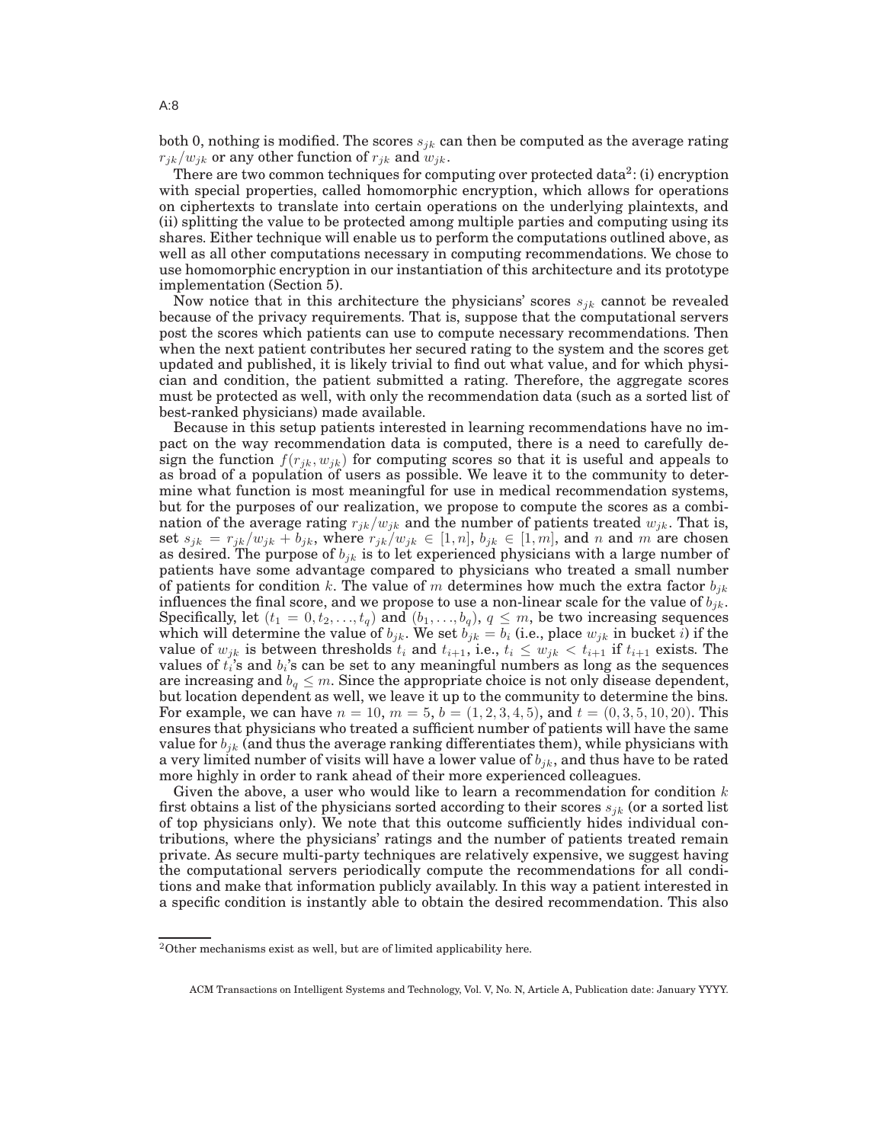both 0, nothing is modified. The scores  $s_{jk}$  can then be computed as the average rating  $r_{jk}/w_{jk}$  or any other function of  $r_{jk}$  and  $w_{jk}$ .

There are two common techniques for computing over protected data<sup>2</sup>: (i) encryption with special properties, called homomorphic encryption, which allows for operations on ciphertexts to translate into certain operations on the underlying plaintexts, and (ii) splitting the value to be protected among multiple parties and computing using its shares. Either technique will enable us to perform the computations outlined above, as well as all other computations necessary in computing recommendations. We chose to use homomorphic encryption in our instantiation of this architecture and its prototype implementation (Section 5).

Now notice that in this architecture the physicians' scores  $s_{jk}$  cannot be revealed because of the privacy requirements. That is, suppose that the computational servers post the scores which patients can use to compute necessary recommendations. Then when the next patient contributes her secured rating to the system and the scores get updated and published, it is likely trivial to find out what value, and for which physician and condition, the patient submitted a rating. Therefore, the aggregate scores must be protected as well, with only the recommendation data (such as a sorted list of best-ranked physicians) made available.

Because in this setup patients interested in learning recommendations have no impact on the way recommendation data is computed, there is a need to carefully design the function  $f(r_{jk}, w_{jk})$  for computing scores so that it is useful and appeals to as broad of a population of users as possible. We leave it to the community to determine what function is most meaningful for use in medical recommendation systems, but for the purposes of our realization, we propose to compute the scores as a combination of the average rating  $r_{jk}/w_{jk}$  and the number of patients treated  $w_{jk}$ . That is, set  $s_{jk} = r_{jk}/w_{jk} + b_{jk}$ , where  $r_{jk}/w_{jk} \in [1, n]$ ,  $b_{jk} \in [1, m]$ , and n and m are chosen as desired. The purpose of  $b_{jk}$  is to let experienced physicians with a large number of patients have some advantage compared to physicians who treated a small number of patients for condition k. The value of m determines how much the extra factor  $b_{jk}$ influences the final score, and we propose to use a non-linear scale for the value of  $b_{jk}$ . Specifically, let  $(t_1 = 0, t_2, \ldots, t_q)$  and  $(b_1, \ldots, b_q)$ ,  $q \leq m$ , be two increasing sequences which will determine the value of  $b_{jk}$ . We set  $b_{jk} = b_i$  (i.e., place  $w_{jk}$  in bucket i) if the value of  $w_{jk}$  is between thresholds  $t_i$  and  $t_{i+1}$ , i.e.,  $t_i \leq w_{jk} < t_{i+1}$  if  $t_{i+1}$  exists. The values of  $t_i$ 's and  $b_i$ 's can be set to any meaningful numbers as long as the sequences are increasing and  $b_q \leq m$ . Since the appropriate choice is not only disease dependent, but location dependent as well, we leave it up to the community to determine the bins. For example, we can have  $n = 10$ ,  $m = 5$ ,  $b = (1, 2, 3, 4, 5)$ , and  $t = (0, 3, 5, 10, 20)$ . This ensures that physicians who treated a sufficient number of patients will have the same value for  $b_{jk}$  (and thus the average ranking differentiates them), while physicians with a very limited number of visits will have a lower value of  $b_{ik}$ , and thus have to be rated more highly in order to rank ahead of their more experienced colleagues.

Given the above, a user who would like to learn a recommendation for condition  $k$ first obtains a list of the physicians sorted according to their scores  $s_{ik}$  (or a sorted list of top physicians only). We note that this outcome sufficiently hides individual contributions, where the physicians' ratings and the number of patients treated remain private. As secure multi-party techniques are relatively expensive, we suggest having the computational servers periodically compute the recommendations for all conditions and make that information publicly availably. In this way a patient interested in a specific condition is instantly able to obtain the desired recommendation. This also

 $2$ Other mechanisms exist as well, but are of limited applicability here.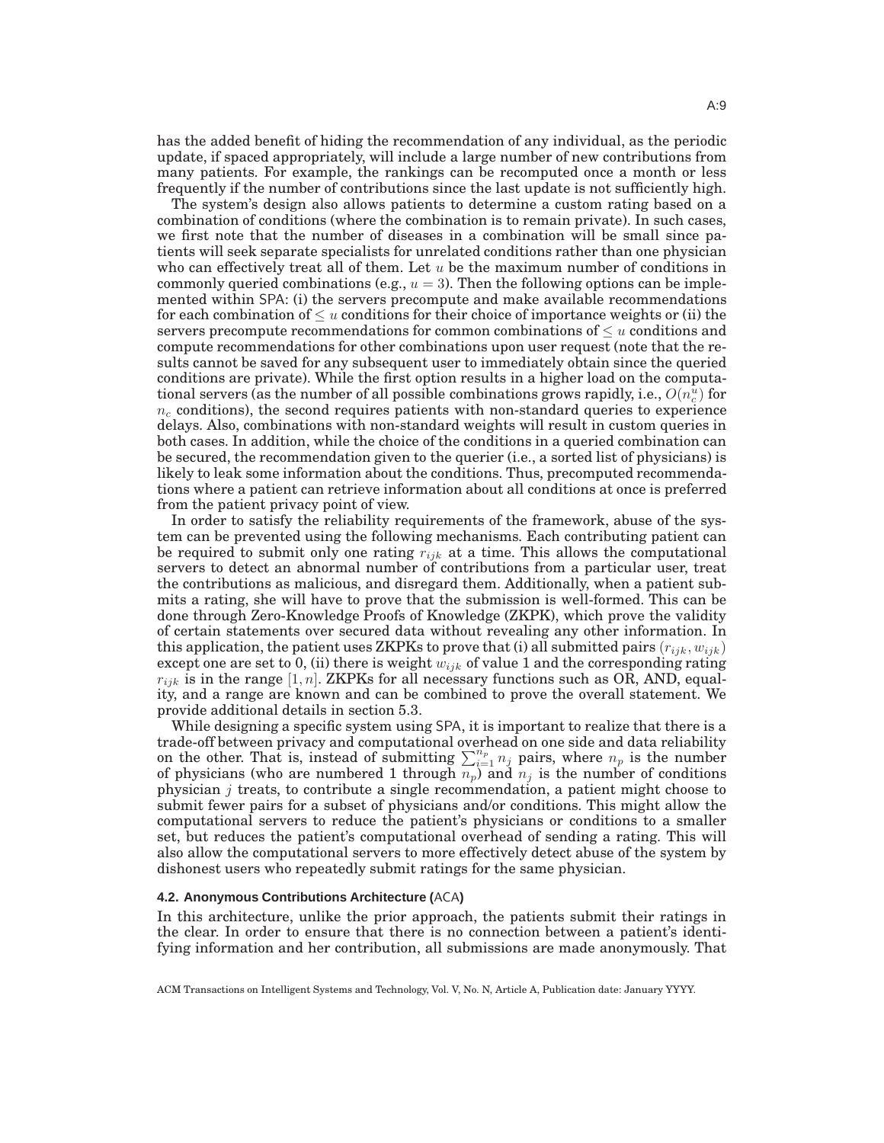has the added benefit of hiding the recommendation of any individual, as the periodic update, if spaced appropriately, will include a large number of new contributions from many patients. For example, the rankings can be recomputed once a month or less frequently if the number of contributions since the last update is not sufficiently high.

The system's design also allows patients to determine a custom rating based on a combination of conditions (where the combination is to remain private). In such cases, we first note that the number of diseases in a combination will be small since patients will seek separate specialists for unrelated conditions rather than one physician who can effectively treat all of them. Let  $u$  be the maximum number of conditions in commonly queried combinations (e.g.,  $u = 3$ ). Then the following options can be implemented within SPA: (i) the servers precompute and make available recommendations for each combination of  $\leq u$  conditions for their choice of importance weights or (ii) the servers precompute recommendations for common combinations of  $\leq u$  conditions and compute recommendations for other combinations upon user request (note that the results cannot be saved for any subsequent user to immediately obtain since the queried conditions are private). While the first option results in a higher load on the computational servers (as the number of all possible combinations grows rapidly, i.e.,  $O(n_c^u)$  for  $n_c$  conditions), the second requires patients with non-standard queries to experience delays. Also, combinations with non-standard weights will result in custom queries in both cases. In addition, while the choice of the conditions in a queried combination can be secured, the recommendation given to the querier (i.e., a sorted list of physicians) is likely to leak some information about the conditions. Thus, precomputed recommendations where a patient can retrieve information about all conditions at once is preferred from the patient privacy point of view.

In order to satisfy the reliability requirements of the framework, abuse of the system can be prevented using the following mechanisms. Each contributing patient can be required to submit only one rating  $r_{ijk}$  at a time. This allows the computational servers to detect an abnormal number of contributions from a particular user, treat the contributions as malicious, and disregard them. Additionally, when a patient submits a rating, she will have to prove that the submission is well-formed. This can be done through Zero-Knowledge Proofs of Knowledge (ZKPK), which prove the validity of certain statements over secured data without revealing any other information. In this application, the patient uses ZKPKs to prove that (i) all submitted pairs  $(r_{ijk}, w_{ijk})$ except one are set to 0, (ii) there is weight  $w_{ijk}$  of value 1 and the corresponding rating  $r_{ijk}$  is in the range [1, n]. ZKPKs for all necessary functions such as OR, AND, equality, and a range are known and can be combined to prove the overall statement. We provide additional details in section 5.3.

While designing a specific system using SPA, it is important to realize that there is a trade-off between privacy and computational overhead on one side and data reliability on the other. That is, instead of submitting  $\sum_{i=1}^{n_p} n_j$  pairs, where  $n_p$  is the number of physicians (who are numbered 1 through  $n_p$ ) and  $n_j$  is the number of conditions physician  $j$  treats, to contribute a single recommendation, a patient might choose to submit fewer pairs for a subset of physicians and/or conditions. This might allow the computational servers to reduce the patient's physicians or conditions to a smaller set, but reduces the patient's computational overhead of sending a rating. This will also allow the computational servers to more effectively detect abuse of the system by dishonest users who repeatedly submit ratings for the same physician.

### **4.2. Anonymous Contributions Architecture (**ACA**)**

In this architecture, unlike the prior approach, the patients submit their ratings in the clear. In order to ensure that there is no connection between a patient's identifying information and her contribution, all submissions are made anonymously. That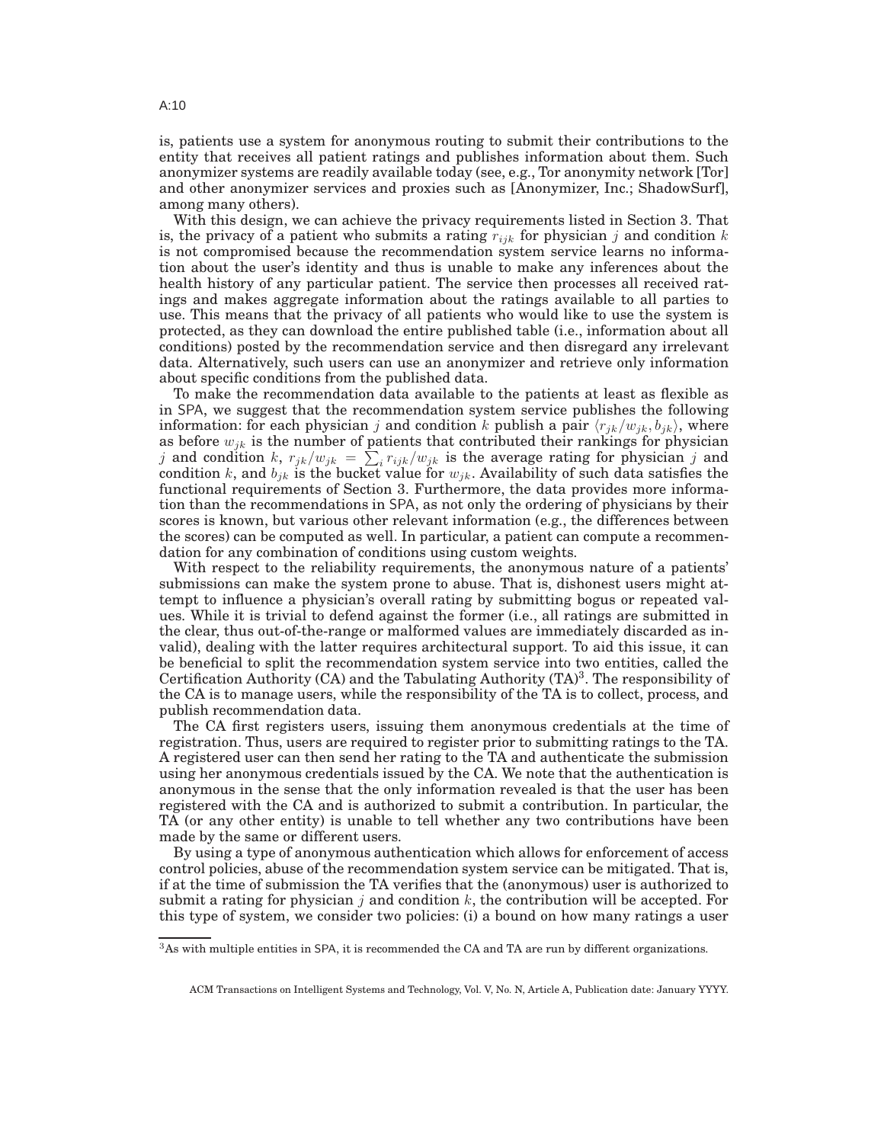is, patients use a system for anonymous routing to submit their contributions to the entity that receives all patient ratings and publishes information about them. Such anonymizer systems are readily available today (see, e.g., Tor anonymity network [Tor] and other anonymizer services and proxies such as [Anonymizer, Inc.; ShadowSurf], among many others).

With this design, we can achieve the privacy requirements listed in Section 3. That is, the privacy of a patient who submits a rating  $r_{ijk}$  for physician j and condition k is not compromised because the recommendation system service learns no information about the user's identity and thus is unable to make any inferences about the health history of any particular patient. The service then processes all received ratings and makes aggregate information about the ratings available to all parties to use. This means that the privacy of all patients who would like to use the system is protected, as they can download the entire published table (i.e., information about all conditions) posted by the recommendation service and then disregard any irrelevant data. Alternatively, such users can use an anonymizer and retrieve only information about specific conditions from the published data.

To make the recommendation data available to the patients at least as flexible as in SPA, we suggest that the recommendation system service publishes the following information: for each physician j and condition k publish a pair  $\langle r_{ik}/w_{ik}, b_{ik} \rangle$ , where as before  $w_{jk}$  is the number of patients that contributed their rankings for physician j and condition k,  $r_{jk}/w_{jk} = \sum_i r_{ijk}/w_{jk}$  is the average rating for physician j and condition  $k$ , and  $b_{jk}$  is the bucket value for  $w_{jk}$ . Availability of such data satisfies the functional requirements of Section 3. Furthermore, the data provides more information than the recommendations in SPA, as not only the ordering of physicians by their scores is known, but various other relevant information (e.g., the differences between the scores) can be computed as well. In particular, a patient can compute a recommendation for any combination of conditions using custom weights.

With respect to the reliability requirements, the anonymous nature of a patients' submissions can make the system prone to abuse. That is, dishonest users might attempt to influence a physician's overall rating by submitting bogus or repeated values. While it is trivial to defend against the former (i.e., all ratings are submitted in the clear, thus out-of-the-range or malformed values are immediately discarded as invalid), dealing with the latter requires architectural support. To aid this issue, it can be beneficial to split the recommendation system service into two entities, called the Certification Authority (CA) and the Tabulating Authority  $(TA)^3$ . The responsibility of the CA is to manage users, while the responsibility of the TA is to collect, process, and publish recommendation data.

The CA first registers users, issuing them anonymous credentials at the time of registration. Thus, users are required to register prior to submitting ratings to the TA. A registered user can then send her rating to the TA and authenticate the submission using her anonymous credentials issued by the CA. We note that the authentication is anonymous in the sense that the only information revealed is that the user has been registered with the CA and is authorized to submit a contribution. In particular, the TA (or any other entity) is unable to tell whether any two contributions have been made by the same or different users.

By using a type of anonymous authentication which allows for enforcement of access control policies, abuse of the recommendation system service can be mitigated. That is, if at the time of submission the TA verifies that the (anonymous) user is authorized to submit a rating for physician j and condition  $k$ , the contribution will be accepted. For this type of system, we consider two policies: (i) a bound on how many ratings a user

 $3$ As with multiple entities in SPA, it is recommended the CA and TA are run by different organizations.

ACM Transactions on Intelligent Systems and Technology, Vol. V, No. N, Article A, Publication date: January YYYY.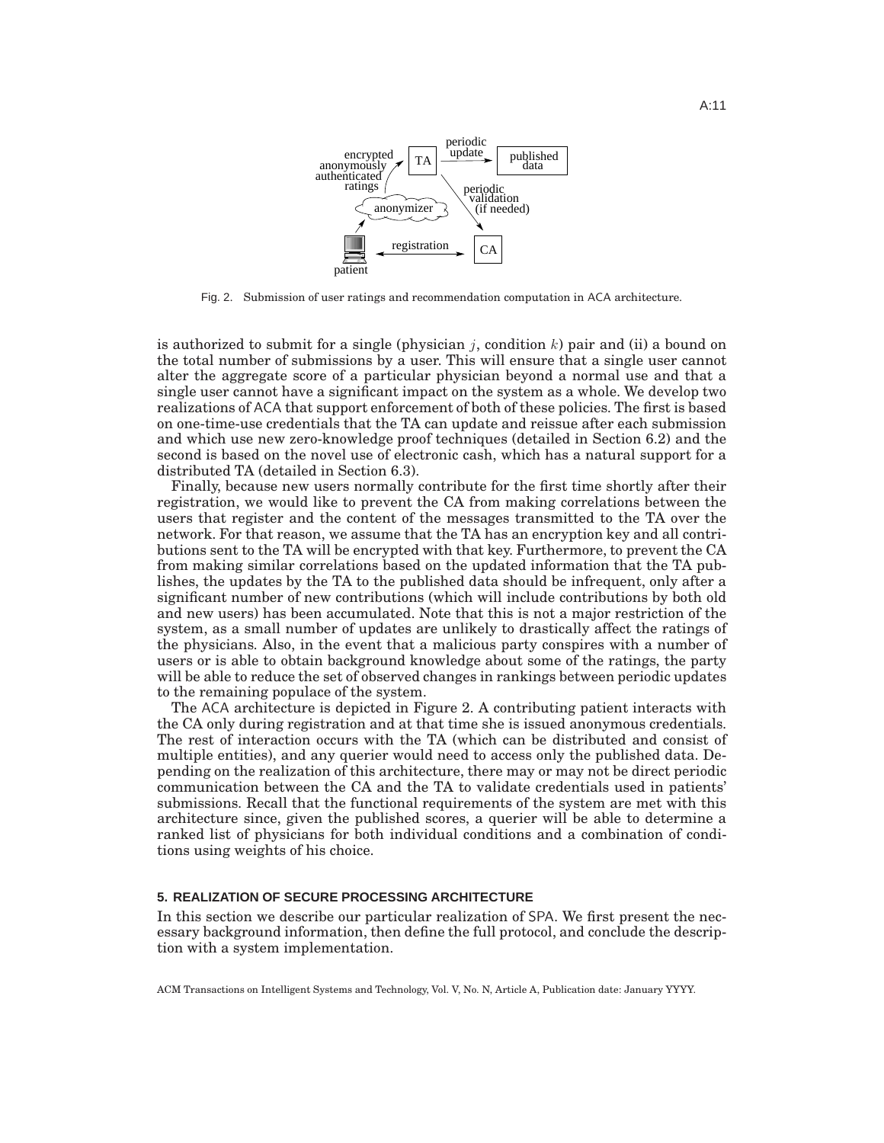

Fig. 2. Submission of user ratings and recommendation computation in ACA architecture.

is authorized to submit for a single (physician j, condition k) pair and (ii) a bound on the total number of submissions by a user. This will ensure that a single user cannot alter the aggregate score of a particular physician beyond a normal use and that a single user cannot have a significant impact on the system as a whole. We develop two realizations of ACA that support enforcement of both of these policies. The first is based on one-time-use credentials that the TA can update and reissue after each submission and which use new zero-knowledge proof techniques (detailed in Section 6.2) and the second is based on the novel use of electronic cash, which has a natural support for a distributed TA (detailed in Section 6.3).

Finally, because new users normally contribute for the first time shortly after their registration, we would like to prevent the CA from making correlations between the users that register and the content of the messages transmitted to the TA over the network. For that reason, we assume that the TA has an encryption key and all contributions sent to the TA will be encrypted with that key. Furthermore, to prevent the CA from making similar correlations based on the updated information that the TA publishes, the updates by the TA to the published data should be infrequent, only after a significant number of new contributions (which will include contributions by both old and new users) has been accumulated. Note that this is not a major restriction of the system, as a small number of updates are unlikely to drastically affect the ratings of the physicians. Also, in the event that a malicious party conspires with a number of users or is able to obtain background knowledge about some of the ratings, the party will be able to reduce the set of observed changes in rankings between periodic updates to the remaining populace of the system.

The ACA architecture is depicted in Figure 2. A contributing patient interacts with the CA only during registration and at that time she is issued anonymous credentials. The rest of interaction occurs with the TA (which can be distributed and consist of multiple entities), and any querier would need to access only the published data. Depending on the realization of this architecture, there may or may not be direct periodic communication between the CA and the TA to validate credentials used in patients' submissions. Recall that the functional requirements of the system are met with this architecture since, given the published scores, a querier will be able to determine a ranked list of physicians for both individual conditions and a combination of conditions using weights of his choice.

# **5. REALIZATION OF SECURE PROCESSING ARCHITECTURE**

In this section we describe our particular realization of SPA. We first present the necessary background information, then define the full protocol, and conclude the description with a system implementation.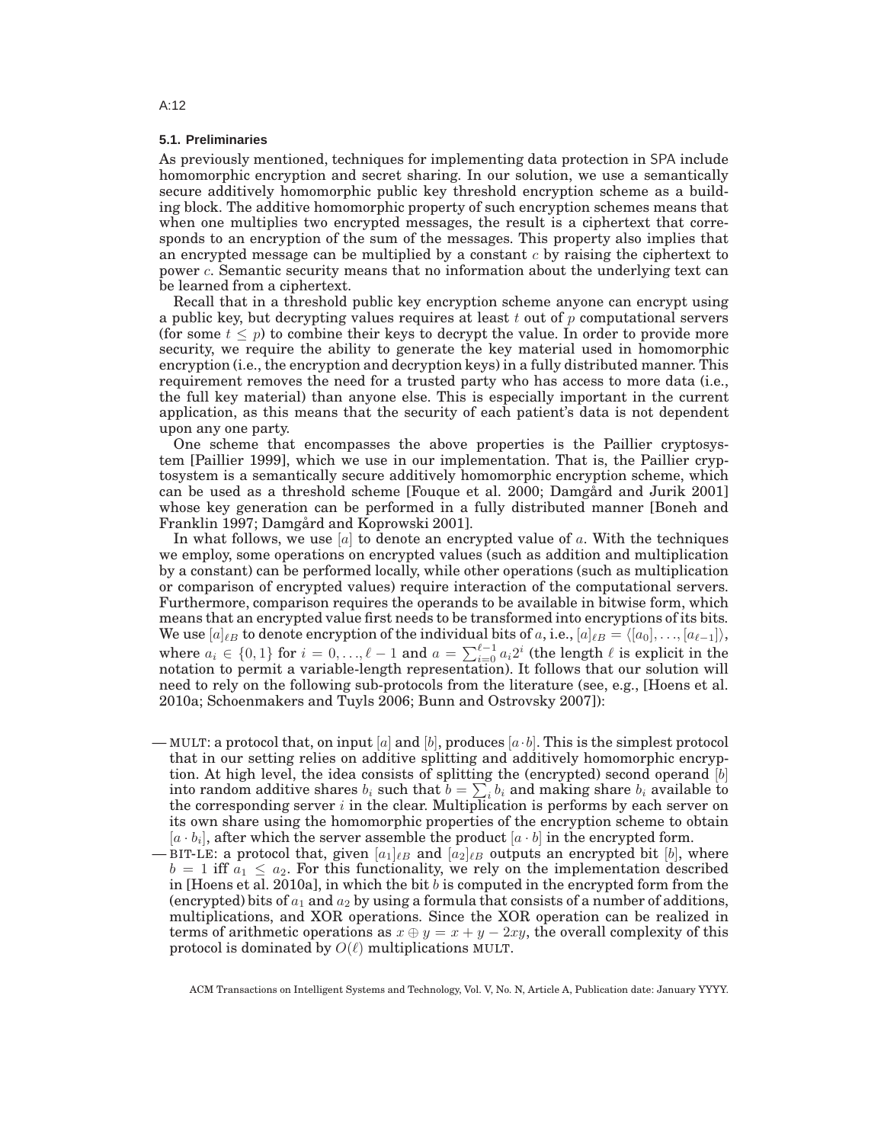# **5.1. Preliminaries**

As previously mentioned, techniques for implementing data protection in SPA include homomorphic encryption and secret sharing. In our solution, we use a semantically secure additively homomorphic public key threshold encryption scheme as a building block. The additive homomorphic property of such encryption schemes means that when one multiplies two encrypted messages, the result is a ciphertext that corresponds to an encryption of the sum of the messages. This property also implies that an encrypted message can be multiplied by a constant  $c$  by raising the ciphertext to power c. Semantic security means that no information about the underlying text can be learned from a ciphertext.

Recall that in a threshold public key encryption scheme anyone can encrypt using a public key, but decrypting values requires at least  $t$  out of  $p$  computational servers (for some  $t \leq p$ ) to combine their keys to decrypt the value. In order to provide more security, we require the ability to generate the key material used in homomorphic encryption (i.e., the encryption and decryption keys) in a fully distributed manner. This requirement removes the need for a trusted party who has access to more data (i.e., the full key material) than anyone else. This is especially important in the current application, as this means that the security of each patient's data is not dependent upon any one party.

One scheme that encompasses the above properties is the Paillier cryptosystem [Paillier 1999], which we use in our implementation. That is, the Paillier cryptosystem is a semantically secure additively homomorphic encryption scheme, which can be used as a threshold scheme [Fouque et al. 2000; Damgård and Jurik 2001] whose key generation can be performed in a fully distributed manner [Boneh and Franklin 1997; Damgård and Koprowski 2001].

In what follows, we use  $[a]$  to denote an encrypted value of a. With the techniques we employ, some operations on encrypted values (such as addition and multiplication by a constant) can be performed locally, while other operations (such as multiplication or comparison of encrypted values) require interaction of the computational servers. Furthermore, comparison requires the operands to be available in bitwise form, which means that an encrypted value first needs to be transformed into encryptions of its bits. We use  $[a]_{\ell B}$  to denote encryption of the individual bits of  $a,$  i.e.,  $[a]_{\ell B}=\langle[a_0],...,[a_{\ell-1}]\rangle,$ where  $a_i \in \{0,1\}$  for  $i=0,\ldots,\ell-1$  and  $a=\sum_{i=0}^{\ell-1} a_i 2^i$  (the length  $\ell$  is explicit in the notation to permit a variable-length representation). It follows that our solution will need to rely on the following sub-protocols from the literature (see, e.g., [Hoens et al. 2010a; Schoenmakers and Tuyls 2006; Bunn and Ostrovsky 2007]):

- MULT: a protocol that, on input [a] and [b], produces [a·b]. This is the simplest protocol that in our setting relies on additive splitting and additively homomorphic encryption. At high level, the idea consists of splitting the (encrypted) second operand  $[b]$ into random additive shares  $b_i$  such that  $b = \sum_i b_i$  and making share  $b_i$  available to the corresponding server  $i$  in the clear. Multiplication is performs by each server on its own share using the homomorphic properties of the encryption scheme to obtain  $[a \cdot b_i]$ , after which the server assemble the product  $[a \cdot b]$  in the encrypted form.
- BIT-LE: a protocol that, given  $[a_1]_{\ell B}$  and  $[a_2]_{\ell B}$  outputs an encrypted bit  $[b]$ , where  $b = 1$  iff  $a_1 \le a_2$ . For this functionality, we rely on the implementation described in [Hoens et al. 2010a], in which the bit  $b$  is computed in the encrypted form from the (encrypted) bits of  $a_1$  and  $a_2$  by using a formula that consists of a number of additions, multiplications, and XOR operations. Since the XOR operation can be realized in terms of arithmetic operations as  $x \oplus y = x + y - 2xy$ , the overall complexity of this protocol is dominated by  $O(\ell)$  multiplications MULT.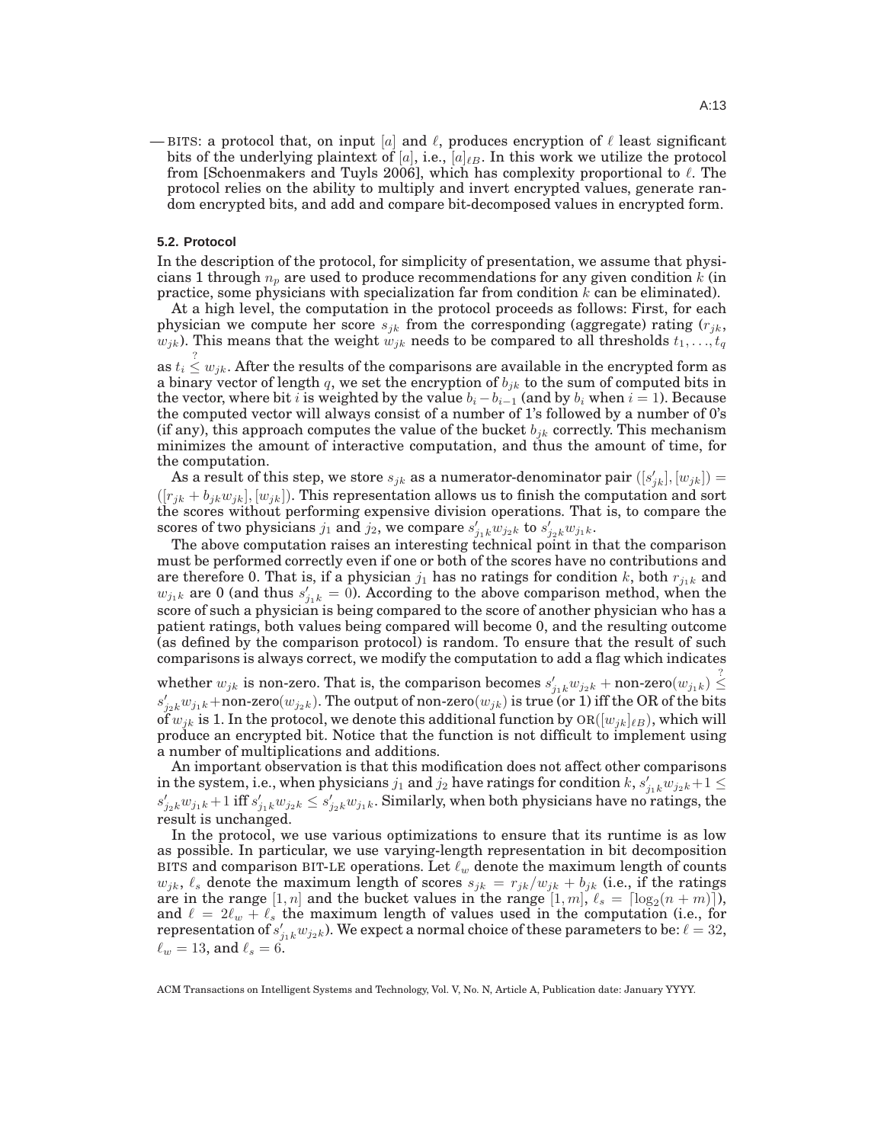— BITS: a protocol that, on input [a] and  $\ell$ , produces encryption of  $\ell$  least significant bits of the underlying plaintext of  $[a]$ , i.e.,  $[a]_{\ell B}$ . In this work we utilize the protocol from [Schoenmakers and Tuyls 2006], which has complexity proportional to ℓ. The protocol relies on the ability to multiply and invert encrypted values, generate random encrypted bits, and add and compare bit-decomposed values in encrypted form.

#### **5.2. Protocol**

In the description of the protocol, for simplicity of presentation, we assume that physicians 1 through  $n_p$  are used to produce recommendations for any given condition k (in practice, some physicians with specialization far from condition  $k$  can be eliminated).

At a high level, the computation in the protocol proceeds as follows: First, for each physician we compute her score  $s_{jk}$  from the corresponding (aggregate) rating  $(r_{jk},$  $w_{jk}$ ). This means that the weight  $w_{jk}$  needs to be compared to all thresholds  $t_1, \ldots, t_q$ as  $t_i \stackrel{?}{\leq} w_{jk}.$  After the results of the comparisons are available in the encrypted form as

a binary vector of length q, we set the encryption of  $b_{ik}$  to the sum of computed bits in the vector, where bit i is weighted by the value  $b_i - b_{i-1}$  (and by  $b_i$  when  $i = 1$ ). Because the computed vector will always consist of a number of 1's followed by a number of 0's (if any), this approach computes the value of the bucket  $b_{ik}$  correctly. This mechanism minimizes the amount of interactive computation, and thus the amount of time, for the computation.

As a result of this step, we store  $s_{jk}$  as a numerator-denominator pair  $([s'_{jk}], [w_{jk}]) =$  $([r_{jk} + b_{jk}w_{jk}], [w_{jk}])$ . This representation allows us to finish the computation and sort the scores without performing expensive division operations. That is, to compare the scores of two physicians  $j_1$  and  $j_2$ , we compare  $s'_{j_1k}w_{j_2k}$  to  $s'_{j_2k}w_{j_1k}$ .

The above computation raises an interesting technical point in that the comparison must be performed correctly even if one or both of the scores have no contributions and are therefore 0. That is, if a physician  $j_1$  has no ratings for condition k, both  $r_{j_1k}$  and  $w_{j_1k}$  are 0 (and thus  $s'_{j_1k} = 0$ ). According to the above comparison method, when the score of such a physician is being compared to the score of another physician who has a patient ratings, both values being compared will become 0, and the resulting outcome (as defined by the comparison protocol) is random. To ensure that the result of such comparisons is always correct, we modify the computation to add a flag which indicates

whether  $w_{jk}$  is non-zero. That is, the comparison becomes  $s'_{j_1k}w_{j_2k} +$  non-zero $(w_{j_1k}) \overset{?}{\leq}$  $s'_{j_2k}w_{j_1k} +$ non-zero $(w_{j_2k}).$  The output of non-zero $(w_{jk})$  is true (or 1) iff the OR of the bits of  $w_{jk}$  is 1. In the protocol, we denote this additional function by OR( $[w_{jk}|_{\ell B})$ , which will produce an encrypted bit. Notice that the function is not difficult to implement using a number of multiplications and additions.

An important observation is that this modification does not affect other comparisons in the system, i.e., when physicians  $j_1$  and  $j_2$  have ratings for condition  $k$ ,  $s'_{j_1k}w_{j_2k}+1\leq k$  $s'_{j2k}w_{j1k} + 1$  iff  $s'_{j1k}w_{j2k} \leq s'_{j2k}w_{j1k}$ . Similarly, when both physicians have no ratings, the result is unchanged.

In the protocol, we use various optimizations to ensure that its runtime is as low as possible. In particular, we use varying-length representation in bit decomposition BITS and comparison BIT-LE operations. Let  $\ell_w$  denote the maximum length of counts  $w_{jk}$ ,  $\ell_s$  denote the maximum length of scores  $s_{jk} = r_{jk}/w_{jk} + b_{jk}$  (i.e., if the ratings are in the range  $[1, n]$  and the bucket values in the range  $[1, m]$ ,  $\ell_s = \lceil \log_2(n + m) \rceil$ ), and  $\ell = 2\ell_w + \ell_s$  the maximum length of values used in the computation (i.e., for representation of  $s'_{j_1k}w_{j_2k}$ ). We expect a normal choice of these parameters to be:  $\ell=32,$  $\ell_w = 13$ , and  $\ell_s = 6$ .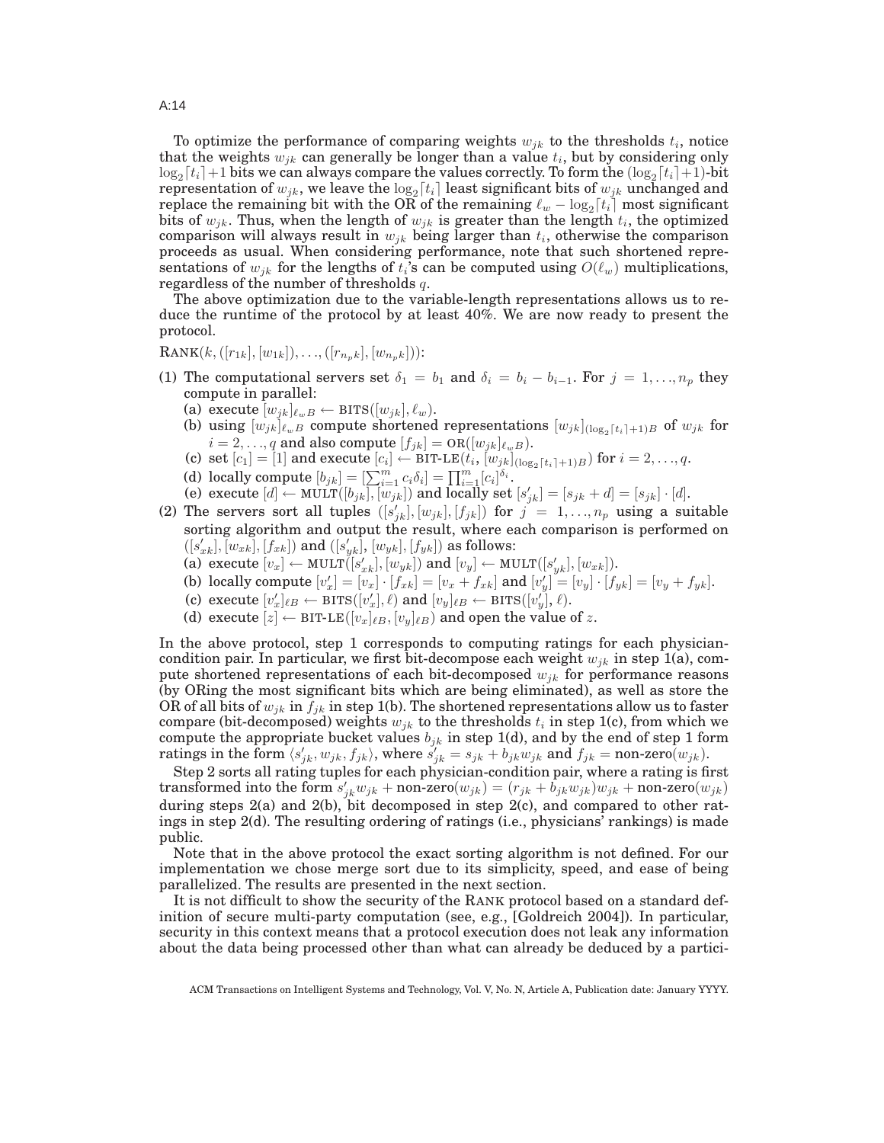To optimize the performance of comparing weights  $w_{jk}$  to the thresholds  $t_i$ , notice that the weights  $w_{jk}$  can generally be longer than a value  $t_i$ , but by considering only  $\log_2\lceil t_i \rceil + 1$  bits we can always compare the values correctly. To form the  $(\log_2\lceil t_i \rceil + 1)$ -bit representation of  $w_{jk}$ , we leave the  $\log_2\lceil t_i\rceil$  least significant bits of  $w_{jk}$  unchanged and replace the remaining bit with the OR of the remaining  $\ell_w - \log_2 \lceil t_i \rceil$  most significant bits of  $w_{jk}$ . Thus, when the length of  $w_{jk}$  is greater than the length  $t_i$ , the optimized comparison will always result in  $w_{jk}$  being larger than  $t_i$ , otherwise the comparison proceeds as usual. When considering performance, note that such shortened representations of  $w_{jk}$  for the lengths of  $t_i$ 's can be computed using  $O(\ell_w)$  multiplications, regardless of the number of thresholds q.

The above optimization due to the variable-length representations allows us to reduce the runtime of the protocol by at least 40%. We are now ready to present the protocol.

RANK $(k,([r_{1k}],[w_{1k}]),...,([r_{npk}],[w_{npk}]))$ :

- (1) The computational servers set  $\delta_1 = b_1$  and  $\delta_i = b_i b_{i-1}$ . For  $j = 1, ..., n_p$  they compute in parallel:
	- (a) execute  $[w_{jk}]_{\ell_wB} \leftarrow \text{BITS}([w_{jk}], \ell_w).$
	- (b) using  $[w_{jk}]_{\ell_wB}$  compute shortened representations  $[w_{jk}]_{(\log_2[t_i]+1)B}$  of  $w_{jk}$  for  $i = 2, \ldots, q$  and also compute  $[f_{jk}] = \text{OR}([w_{jk}]_{\ell_w}B)$ .
	- (c) set  $[c_1] = [1]$  and execute  $[c_i] \leftarrow \text{BIT-LE}(t_i, [w_{jk}]_{(\log_2[t_i]+1)B})$  for  $i = 2, ..., q$ .
	- (d) locally compute  $[b_{jk}] = \left[\sum_{i=1}^{m} c_i \delta_i\right] = \prod_{i=1}^{m} [c_i]^{\delta_i}$ .
	- (e) execute  $[d] \leftarrow \text{MULT}([b_{jk}], [w_{jk}])$  and locally set  $[s'_{jk}] = [s_{jk} + d] = [s_{jk}] \cdot [d]$ .
- (2) The servers sort all tuples  $([s'_{jk}], [w_{jk}], [f_{jk}])$  for  $j = 1, ..., n_p$  using a suitable sorting algorithm and output the result, where each comparison is performed on  $([s'_{xk}], [w_{xk}], [f_{xk}])$  and  $([s'_{yk}], [w_{yk}], [f_{yk}])$  as follows:
	- (a) execute  $[v_x] \leftarrow \text{MULT}([s'_{xk}], [w_{yk}])$  and  $[v_y] \leftarrow \text{MULT}([s'_{yk}], [w_{xk}]).$
	- (b) locally compute  $[v'_x] = [v_x] \cdot [f_{xk}] = [v_x + f_{xk}]$  and  $[v'_y] = [v_y] \cdot [f_{yk}] = [v_y + f_{yk}]$ .
	- (c) execute  $[v'_x]_{\ell B} \leftarrow \text{BITS}([v'_x], \ell)$  and  $[v_y]_{\ell B} \leftarrow \text{BITS}([v'_y], \ell)$ .
	- (d) execute  $[z] \leftarrow \text{BIT-LE}([v_x]_{\ell B}, [v_y]_{\ell B})$  and open the value of z.

In the above protocol, step 1 corresponds to computing ratings for each physiciancondition pair. In particular, we first bit-decompose each weight  $w_{jk}$  in step 1(a), compute shortened representations of each bit-decomposed  $w_{jk}$  for performance reasons (by ORing the most significant bits which are being eliminated), as well as store the OR of all bits of  $w_{jk}$  in  $f_{jk}$  in step 1(b). The shortened representations allow us to faster compare (bit-decomposed) weights  $w_{jk}$  to the thresholds  $t_i$  in step 1(c), from which we compute the appropriate bucket values  $b_{jk}$  in step 1(d), and by the end of step 1 form ratings in the form  $\langle s'_{jk}, w_{jk}, f_{jk}\rangle$ , where  $s'_{jk} = s_{jk} + b_{jk}w_{jk}$  and  $f_{jk} =$  non-zero $(w_{jk})$ .

Step 2 sorts all rating tuples for each physician-condition pair, where a rating is first transformed into the form  $s'_{jk}w_{jk} + \text{non-zero}(w_{jk}) = (r_{jk} + \bar{b}_{jk}w_{jk})w_{jk} + \text{non-zero}(w_{jk})$ during steps  $2(a)$  and  $2(b)$ , bit decomposed in step  $2(c)$ , and compared to other ratings in step 2(d). The resulting ordering of ratings (i.e., physicians' rankings) is made public.

Note that in the above protocol the exact sorting algorithm is not defined. For our implementation we chose merge sort due to its simplicity, speed, and ease of being parallelized. The results are presented in the next section.

It is not difficult to show the security of the RANK protocol based on a standard definition of secure multi-party computation (see, e.g., [Goldreich 2004]). In particular, security in this context means that a protocol execution does not leak any information about the data being processed other than what can already be deduced by a partici-

A:14

ACM Transactions on Intelligent Systems and Technology, Vol. V, No. N, Article A, Publication date: January YYYY.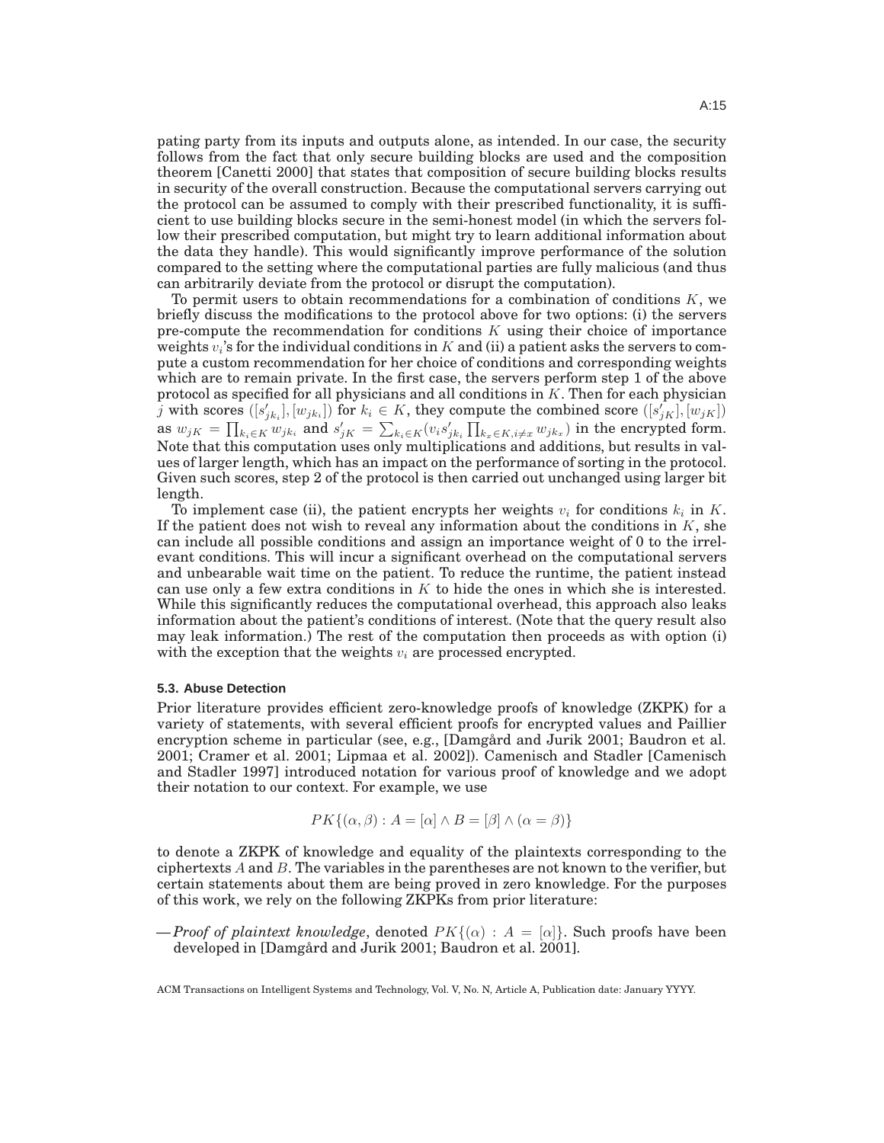pating party from its inputs and outputs alone, as intended. In our case, the security follows from the fact that only secure building blocks are used and the composition theorem [Canetti 2000] that states that composition of secure building blocks results in security of the overall construction. Because the computational servers carrying out the protocol can be assumed to comply with their prescribed functionality, it is sufficient to use building blocks secure in the semi-honest model (in which the servers follow their prescribed computation, but might try to learn additional information about the data they handle). This would significantly improve performance of the solution compared to the setting where the computational parties are fully malicious (and thus can arbitrarily deviate from the protocol or disrupt the computation).

To permit users to obtain recommendations for a combination of conditions  $K$ , we briefly discuss the modifications to the protocol above for two options: (i) the servers pre-compute the recommendation for conditions  $K$  using their choice of importance weights  $v_i$ 's for the individual conditions in  $K$  and (ii) a patient asks the servers to compute a custom recommendation for her choice of conditions and corresponding weights which are to remain private. In the first case, the servers perform step 1 of the above protocol as specified for all physicians and all conditions in  $K$ . Then for each physician  $j$  with scores  $([s'_{jk_i}],[w_{jk_i}])$  for  $k_i\in K,$  they compute the combined score  $([s'_{jK}],[w_{jK}])$ as  $w_{jK} = \prod_{k_i \in K} w_{jk_i}$  and  $s'_{jK} = \sum_{k_i \in K} (v_i s'_{jk_i} \prod_{k_x \in K, i \neq x} w_{jk_x})$  in the encrypted form. Note that this computation uses only multiplications and additions, but results in values of larger length, which has an impact on the performance of sorting in the protocol. Given such scores, step 2 of the protocol is then carried out unchanged using larger bit length.

To implement case (ii), the patient encrypts her weights  $v_i$  for conditions  $k_i$  in K. If the patient does not wish to reveal any information about the conditions in  $K$ , she can include all possible conditions and assign an importance weight of 0 to the irrelevant conditions. This will incur a significant overhead on the computational servers and unbearable wait time on the patient. To reduce the runtime, the patient instead can use only a few extra conditions in  $K$  to hide the ones in which she is interested. While this significantly reduces the computational overhead, this approach also leaks information about the patient's conditions of interest. (Note that the query result also may leak information.) The rest of the computation then proceeds as with option (i) with the exception that the weights  $v_i$  are processed encrypted.

# **5.3. Abuse Detection**

Prior literature provides efficient zero-knowledge proofs of knowledge (ZKPK) for a variety of statements, with several efficient proofs for encrypted values and Paillier encryption scheme in particular (see, e.g., [Damgård and Jurik 2001; Baudron et al. 2001; Cramer et al. 2001; Lipmaa et al. 2002]). Camenisch and Stadler [Camenisch and Stadler 1997] introduced notation for various proof of knowledge and we adopt their notation to our context. For example, we use

$$
PK\{(\alpha,\beta): A = [\alpha] \wedge B = [\beta] \wedge (\alpha = \beta)\}
$$

to denote a ZKPK of knowledge and equality of the plaintexts corresponding to the ciphertexts  $A$  and  $B$ . The variables in the parentheses are not known to the verifier, but certain statements about them are being proved in zero knowledge. For the purposes of this work, we rely on the following ZKPKs from prior literature:

 $-$ *Proof of plaintext knowledge*, denoted  $PK({\alpha}) : A = {\alpha}$ . Such proofs have been developed in [Damgård and Jurik 2001; Baudron et al. 2001].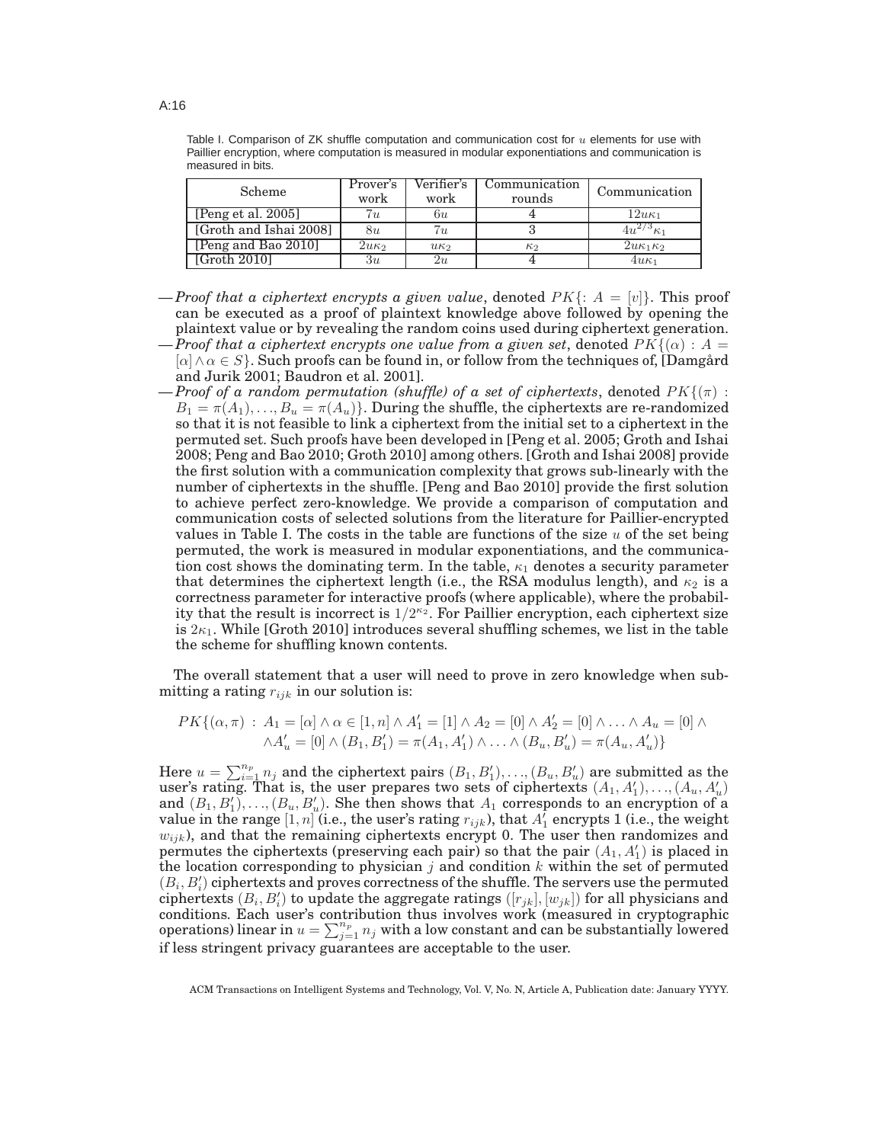| Scheme                 | Prover's<br>work | Verifier's<br>work | Communication<br>rounds | Communication        |
|------------------------|------------------|--------------------|-------------------------|----------------------|
| [Peng et al. $2005$ ]  | 7u               | 6и                 |                         | $12u\kappa$ 1        |
| [Groth and Ishai 2008] | 8и               | 7u                 |                         | $4u^{2/3} \kappa_1$  |
| [Peng and Bao 2010]    | $2u\kappa_2$     | $u\kappa$ 2        | $\kappa_2$              | $2u\kappa_1\kappa_2$ |
| $G$ roth $2010$        | 3u               | 2u                 |                         | $4u\kappa_1$         |

Table I. Comparison of ZK shuffle computation and communication cost for  $u$  elements for use with Paillier encryption, where computation is measured in modular exponentiations and communication is measured in bits.

— *Proof that a ciphertext encrypts a given value*, denoted  $PK\{: A = [v]\}$ . This proof can be executed as a proof of plaintext knowledge above followed by opening the plaintext value or by revealing the random coins used during ciphertext generation.

 $-$  *Proof that a ciphertext encrypts one value from a given set*, denoted  $PK\{(\alpha): A =$  $[\alpha] \wedge \alpha \in S$ . Such proofs can be found in, or follow from the techniques of, [Damgård] and Jurik 2001; Baudron et al. 2001].

*Proof of a random permutation (shuffle) of a set of ciphertexts, denoted*  $PK({\pi})$ *:*  $B_1 = \pi(A_1), \ldots, B_u = \pi(A_u)$ . During the shuffle, the ciphertexts are re-randomized so that it is not feasible to link a ciphertext from the initial set to a ciphertext in the permuted set. Such proofs have been developed in [Peng et al. 2005; Groth and Ishai 2008; Peng and Bao 2010; Groth 2010] among others. [Groth and Ishai 2008] provide the first solution with a communication complexity that grows sub-linearly with the number of ciphertexts in the shuffle. [Peng and Bao 2010] provide the first solution to achieve perfect zero-knowledge. We provide a comparison of computation and communication costs of selected solutions from the literature for Paillier-encrypted values in Table I. The costs in the table are functions of the size  $u$  of the set being permuted, the work is measured in modular exponentiations, and the communication cost shows the dominating term. In the table,  $\kappa_1$  denotes a security parameter that determines the ciphertext length (i.e., the RSA modulus length), and  $\kappa_2$  is a correctness parameter for interactive proofs (where applicable), where the probability that the result is incorrect is  $1/2^{\kappa_2}$ . For Paillier encryption, each ciphertext size is  $2\kappa_1$ . While [Groth 2010] introduces several shuffling schemes, we list in the table the scheme for shuffling known contents.

The overall statement that a user will need to prove in zero knowledge when submitting a rating  $r_{ijk}$  in our solution is:

$$
PK\{(\alpha,\pi) : A_1 = [\alpha] \land \alpha \in [1,n] \land A'_1 = [1] \land A_2 = [0] \land A'_2 = [0] \land \dots \land A_u = [0] \land \land A'_u = [0] \land (B_1, B'_1) = \pi(A_1, A'_1) \land \dots \land (B_u, B'_u) = \pi(A_u, A'_u)\}
$$

Here  $u = \sum_{i=1}^{n_p} n_i$  and the ciphertext pairs  $(B_1, B'_1), \ldots, (B_u, B'_u)$  are submitted as the user's rating. That is, the user prepares two sets of ciphertexts  $(A_1, A'_1), \ldots, (A_u, A'_u)$ and  $(B_1, B'_1), \ldots, (B_u, B'_u)$ . She then shows that  $A_1$  corresponds to an encryption of a value in the range  $[1, n]$  (i.e., the user's rating  $r_{ijk}$ ), that  $A_1$  encrypts 1 (i.e., the weight  $w_{ijk}$ , and that the remaining ciphertexts encrypt 0. The user then randomizes and permutes the ciphertexts (preserving each pair) so that the pair  $(A_1, A'_1)$  is placed in the location corresponding to physician  $j$  and condition  $k$  within the set of permuted  $(B_i, B'_i)$  ciphertexts and proves correctness of the shuffle. The servers use the permuted ciphertexts  $(B_i, B'_i)$  to update the aggregate ratings  $([r_{jk}], [w_{jk}])$  for all physicians and conditions. Each user's contribution thus involves work (measured in cryptographic operations) linear in  $u = \sum_{j=1}^{n_p} n_j$  with a low constant and can be substantially lowered if less stringent privacy guarantees are acceptable to the user.

A:16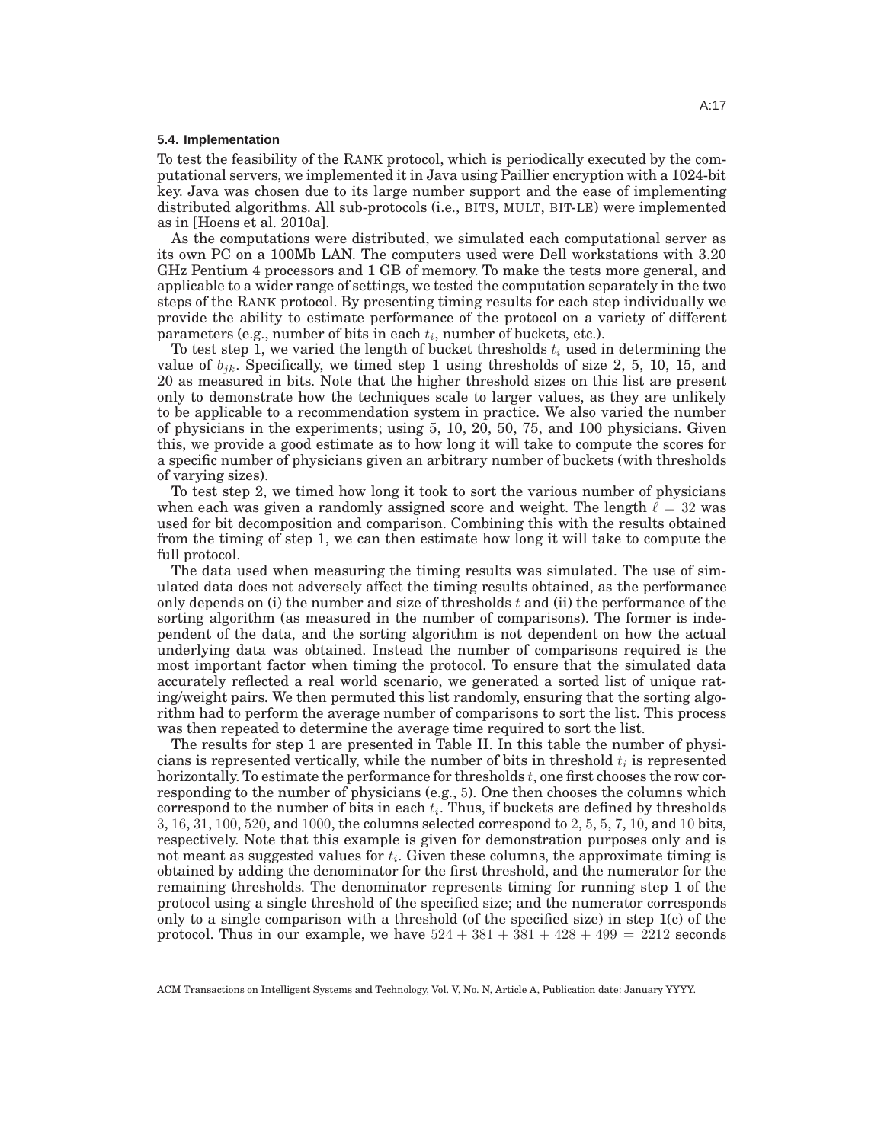# **5.4. Implementation**

To test the feasibility of the RANK protocol, which is periodically executed by the computational servers, we implemented it in Java using Paillier encryption with a 1024-bit key. Java was chosen due to its large number support and the ease of implementing distributed algorithms. All sub-protocols (i.e., BITS, MULT, BIT-LE) were implemented as in [Hoens et al. 2010a].

As the computations were distributed, we simulated each computational server as its own PC on a 100Mb LAN. The computers used were Dell workstations with 3.20 GHz Pentium 4 processors and 1 GB of memory. To make the tests more general, and applicable to a wider range of settings, we tested the computation separately in the two steps of the RANK protocol. By presenting timing results for each step individually we provide the ability to estimate performance of the protocol on a variety of different parameters (e.g., number of bits in each  $t_i$ , number of buckets, etc.).

To test step 1, we varied the length of bucket thresholds  $t_i$  used in determining the value of  $b_{jk}$ . Specifically, we timed step 1 using thresholds of size 2, 5, 10, 15, and 20 as measured in bits. Note that the higher threshold sizes on this list are present only to demonstrate how the techniques scale to larger values, as they are unlikely to be applicable to a recommendation system in practice. We also varied the number of physicians in the experiments; using 5, 10, 20, 50, 75, and 100 physicians. Given this, we provide a good estimate as to how long it will take to compute the scores for a specific number of physicians given an arbitrary number of buckets (with thresholds of varying sizes).

To test step 2, we timed how long it took to sort the various number of physicians when each was given a randomly assigned score and weight. The length  $\ell = 32$  was used for bit decomposition and comparison. Combining this with the results obtained from the timing of step 1, we can then estimate how long it will take to compute the full protocol.

The data used when measuring the timing results was simulated. The use of simulated data does not adversely affect the timing results obtained, as the performance only depends on (i) the number and size of thresholds  $t$  and (ii) the performance of the sorting algorithm (as measured in the number of comparisons). The former is independent of the data, and the sorting algorithm is not dependent on how the actual underlying data was obtained. Instead the number of comparisons required is the most important factor when timing the protocol. To ensure that the simulated data accurately reflected a real world scenario, we generated a sorted list of unique rating/weight pairs. We then permuted this list randomly, ensuring that the sorting algorithm had to perform the average number of comparisons to sort the list. This process was then repeated to determine the average time required to sort the list.

The results for step 1 are presented in Table II. In this table the number of physicians is represented vertically, while the number of bits in threshold  $t_i$  is represented horizontally. To estimate the performance for thresholds  $t$ , one first chooses the row corresponding to the number of physicians (e.g., 5). One then chooses the columns which correspond to the number of bits in each  $t_i.$  Thus, if buckets are defined by thresholds 3, 16, 31, 100, 520, and 1000, the columns selected correspond to 2, 5, 5, 7, 10, and 10 bits, respectively. Note that this example is given for demonstration purposes only and is not meant as suggested values for  $t_i$ . Given these columns, the approximate timing is obtained by adding the denominator for the first threshold, and the numerator for the remaining thresholds. The denominator represents timing for running step 1 of the protocol using a single threshold of the specified size; and the numerator corresponds only to a single comparison with a threshold (of the specified size) in step 1(c) of the protocol. Thus in our example, we have  $524 + 381 + 381 + 428 + 499 = 2212$  seconds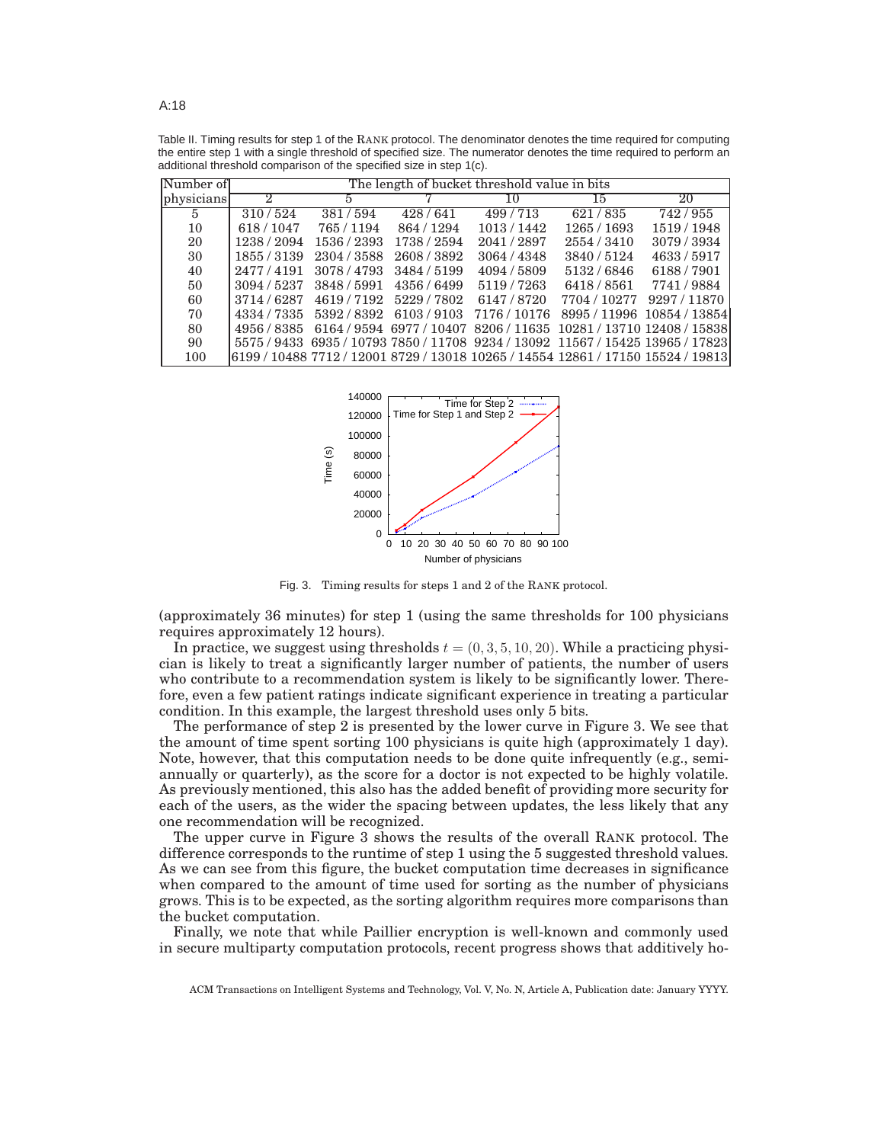| Table II. Timing results for step 1 of the RANK protocol. The denominator denotes the time required for computing  |  |
|--------------------------------------------------------------------------------------------------------------------|--|
| the entire step 1 with a single threshold of specified size. The numerator denotes the time required to perform an |  |
| additional threshold comparison of the specified size in step 1(c).                                                |  |

| Number of  | The length of bucket threshold value in bits |             |             |                                |              |                                                                                  |  |
|------------|----------------------------------------------|-------------|-------------|--------------------------------|--------------|----------------------------------------------------------------------------------|--|
| physicians | 2                                            | 5           |             | 10                             | 15           | 20                                                                               |  |
| 5          | 310/524                                      | 381/594     | 428/641     | 499/713                        | 621/835      | 742/955                                                                          |  |
| 10         | 618/1047                                     | 765/1194    | 864 / 1294  | 1013/1442                      | 1265 / 1693  | 1519/1948                                                                        |  |
| 20         | 1238 / 2094                                  | 1536 / 2393 | 1738 / 2594 | 2041/2897                      | 2554/3410    | 3079/3934                                                                        |  |
| 30         | 1855/3139                                    | 2304 / 3588 | 2608/3892   | 3064 / 4348                    | 3840/5124    | 4633/5917                                                                        |  |
| 40         | 2477/4191                                    | 3078/4793   | 3484/5199   | 4094/5809                      | 5132/6846    | 6188/7901                                                                        |  |
| 50         | 3094/5237                                    | 3848/5991   | 4356/6499   | 5119/7263                      | 6418/8561    | 7741/9884                                                                        |  |
| 60         | 3714/6287                                    | 4619 / 7192 | 5229/7802   | 6147/8720                      | 7704 / 10277 | 9297/11870                                                                       |  |
| 70         | 4334 / 7335                                  |             |             | 5392/8392 6103/9103 7176/10176 |              | 8995/11996 10854/13854                                                           |  |
| 80         | 4956 / 8385                                  |             |             |                                |              | 6164/9594 6977/10407 8206/11635 10281/13710 12408/15838                          |  |
| 90         |                                              |             |             |                                |              | 5575 / 9433 6935 / 10793 7850 / 11708 9234 / 13092 11567 / 15425 13965 / 17823   |  |
| 100        |                                              |             |             |                                |              | 6199 / 10488 7712 / 12001 8729 / 13018 10265 / 14554 12861 / 17150 15524 / 19813 |  |



Fig. 3. Timing results for steps 1 and 2 of the RANK protocol.

(approximately 36 minutes) for step 1 (using the same thresholds for 100 physicians requires approximately 12 hours).

In practice, we suggest using thresholds  $t = (0, 3, 5, 10, 20)$ . While a practicing physician is likely to treat a significantly larger number of patients, the number of users who contribute to a recommendation system is likely to be significantly lower. Therefore, even a few patient ratings indicate significant experience in treating a particular condition. In this example, the largest threshold uses only 5 bits.

The performance of step 2 is presented by the lower curve in Figure 3. We see that the amount of time spent sorting 100 physicians is quite high (approximately 1 day). Note, however, that this computation needs to be done quite infrequently (e.g., semiannually or quarterly), as the score for a doctor is not expected to be highly volatile. As previously mentioned, this also has the added benefit of providing more security for each of the users, as the wider the spacing between updates, the less likely that any one recommendation will be recognized.

The upper curve in Figure 3 shows the results of the overall RANK protocol. The difference corresponds to the runtime of step 1 using the 5 suggested threshold values. As we can see from this figure, the bucket computation time decreases in significance when compared to the amount of time used for sorting as the number of physicians grows. This is to be expected, as the sorting algorithm requires more comparisons than the bucket computation.

Finally, we note that while Paillier encryption is well-known and commonly used in secure multiparty computation protocols, recent progress shows that additively ho-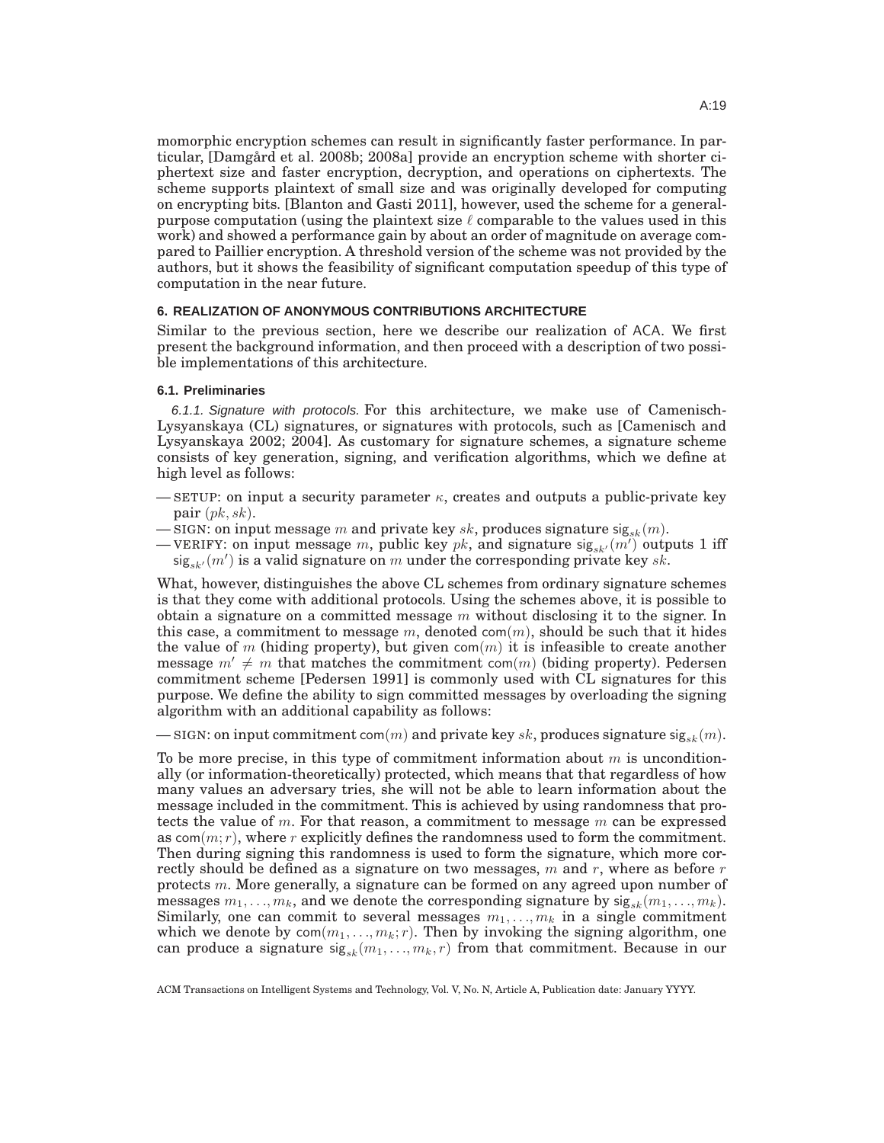momorphic encryption schemes can result in significantly faster performance. In particular, [Damgård et al. 2008b; 2008a] provide an encryption scheme with shorter ciphertext size and faster encryption, decryption, and operations on ciphertexts. The scheme supports plaintext of small size and was originally developed for computing on encrypting bits. [Blanton and Gasti 2011], however, used the scheme for a generalpurpose computation (using the plaintext size  $\ell$  comparable to the values used in this work) and showed a performance gain by about an order of magnitude on average compared to Paillier encryption. A threshold version of the scheme was not provided by the authors, but it shows the feasibility of significant computation speedup of this type of computation in the near future.

### **6. REALIZATION OF ANONYMOUS CONTRIBUTIONS ARCHITECTURE**

Similar to the previous section, here we describe our realization of ACA. We first present the background information, and then proceed with a description of two possible implementations of this architecture.

# **6.1. Preliminaries**

6.1.1. Signature with protocols. For this architecture, we make use of Camenisch-Lysyanskaya (CL) signatures, or signatures with protocols, such as [Camenisch and Lysyanskaya 2002; 2004]. As customary for signature schemes, a signature scheme consists of key generation, signing, and verification algorithms, which we define at high level as follows:

- SETUP: on input a security parameter  $\kappa$ , creates and outputs a public-private key pair  $(pk, sk)$ .
- $-$  SIGN: on input message m and private key sk, produces signature sig<sub>sk</sub> $(m)$ .
- VERIFY: on input message m, public key pk, and signature  $\text{sig}_{sk'}(m')$  outputs 1 iff  $\mathsf{sig}_{sk'}(m')$  is a valid signature on  $m$  under the corresponding private key  $sk.$

What, however, distinguishes the above CL schemes from ordinary signature schemes is that they come with additional protocols. Using the schemes above, it is possible to obtain a signature on a committed message  $m$  without disclosing it to the signer. In this case, a commitment to message m, denoted com $(m)$ , should be such that it hides the value of m (hiding property), but given  $com(m)$  it is infeasible to create another message  $m' \neq m$  that matches the commitment com(m) (biding property). Pedersen commitment scheme [Pedersen 1991] is commonly used with CL signatures for this purpose. We define the ability to sign committed messages by overloading the signing algorithm with an additional capability as follows:

— SIGN: on input commitment com $(m)$  and private key sk, produces signature sig<sub>sk</sub> $(m)$ .

To be more precise, in this type of commitment information about  $m$  is unconditionally (or information-theoretically) protected, which means that that regardless of how many values an adversary tries, she will not be able to learn information about the message included in the commitment. This is achieved by using randomness that protects the value of m. For that reason, a commitment to message m can be expressed as  $\text{com}(m; r)$ , where r explicitly defines the randomness used to form the commitment. Then during signing this randomness is used to form the signature, which more correctly should be defined as a signature on two messages,  $m$  and  $r$ , where as before  $r$ protects m. More generally, a signature can be formed on any agreed upon number of messages  $m_1, \ldots, m_k$ , and we denote the corresponding signature by  $sig_{sk}(m_1, \ldots, m_k)$ . Similarly, one can commit to several messages  $m_1, \ldots, m_k$  in a single commitment which we denote by  $com(m_1, ..., m_k; r)$ . Then by invoking the signing algorithm, one can produce a signature  $sig_{sk}(m_1, \ldots, m_k, r)$  from that commitment. Because in our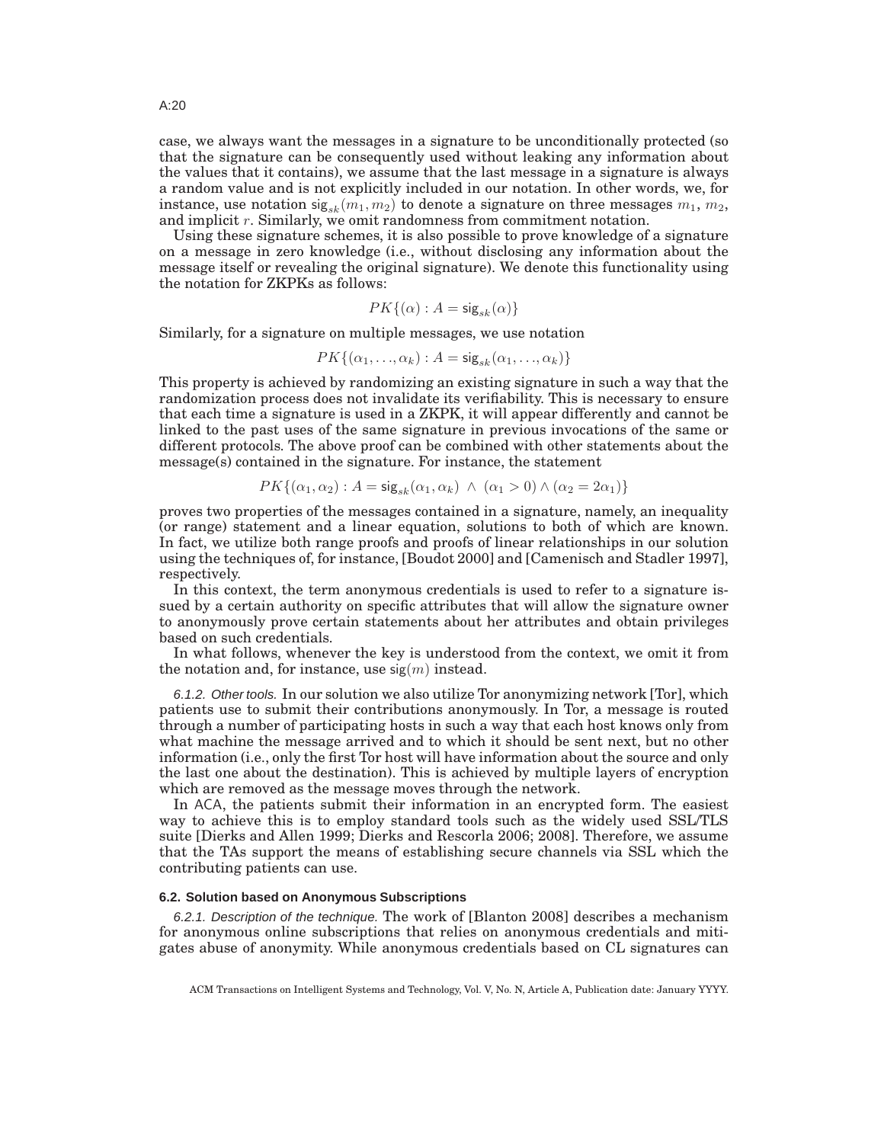case, we always want the messages in a signature to be unconditionally protected (so that the signature can be consequently used without leaking any information about the values that it contains), we assume that the last message in a signature is always a random value and is not explicitly included in our notation. In other words, we, for instance, use notation  $sig_{sk}(m_1, m_2)$  to denote a signature on three messages  $m_1, m_2$ , and implicit r. Similarly, we omit randomness from commitment notation.

Using these signature schemes, it is also possible to prove knowledge of a signature on a message in zero knowledge (i.e., without disclosing any information about the message itself or revealing the original signature). We denote this functionality using the notation for ZKPKs as follows:

$$
PK\{(\alpha): A = \mathsf{sig}_{sk}(\alpha)\}\
$$

Similarly, for a signature on multiple messages, we use notation

$$
PK\{(\alpha_1,\ldots,\alpha_k): A=\mathsf{sig}_{sk}(\alpha_1,\ldots,\alpha_k)\}\
$$

This property is achieved by randomizing an existing signature in such a way that the randomization process does not invalidate its verifiability. This is necessary to ensure that each time a signature is used in a ZKPK, it will appear differently and cannot be linked to the past uses of the same signature in previous invocations of the same or different protocols. The above proof can be combined with other statements about the message(s) contained in the signature. For instance, the statement

$$
PK\{(\alpha_1,\alpha_2): A = \mathsf{sig}_{sk}(\alpha_1,\alpha_k) \ \wedge \ (\alpha_1 > 0) \wedge (\alpha_2 = 2\alpha_1)\}
$$

proves two properties of the messages contained in a signature, namely, an inequality (or range) statement and a linear equation, solutions to both of which are known. In fact, we utilize both range proofs and proofs of linear relationships in our solution using the techniques of, for instance, [Boudot 2000] and [Camenisch and Stadler 1997], respectively.

In this context, the term anonymous credentials is used to refer to a signature issued by a certain authority on specific attributes that will allow the signature owner to anonymously prove certain statements about her attributes and obtain privileges based on such credentials.

In what follows, whenever the key is understood from the context, we omit it from the notation and, for instance, use  $\text{sig}(m)$  instead.

6.1.2. Other tools. In our solution we also utilize Tor anonymizing network [Tor], which patients use to submit their contributions anonymously. In Tor, a message is routed through a number of participating hosts in such a way that each host knows only from what machine the message arrived and to which it should be sent next, but no other information (i.e., only the first Tor host will have information about the source and only the last one about the destination). This is achieved by multiple layers of encryption which are removed as the message moves through the network.

In ACA, the patients submit their information in an encrypted form. The easiest way to achieve this is to employ standard tools such as the widely used SSL/TLS suite [Dierks and Allen 1999; Dierks and Rescorla 2006; 2008]. Therefore, we assume that the TAs support the means of establishing secure channels via SSL which the contributing patients can use.

# **6.2. Solution based on Anonymous Subscriptions**

6.2.1. Description of the technique. The work of [Blanton 2008] describes a mechanism for anonymous online subscriptions that relies on anonymous credentials and mitigates abuse of anonymity. While anonymous credentials based on CL signatures can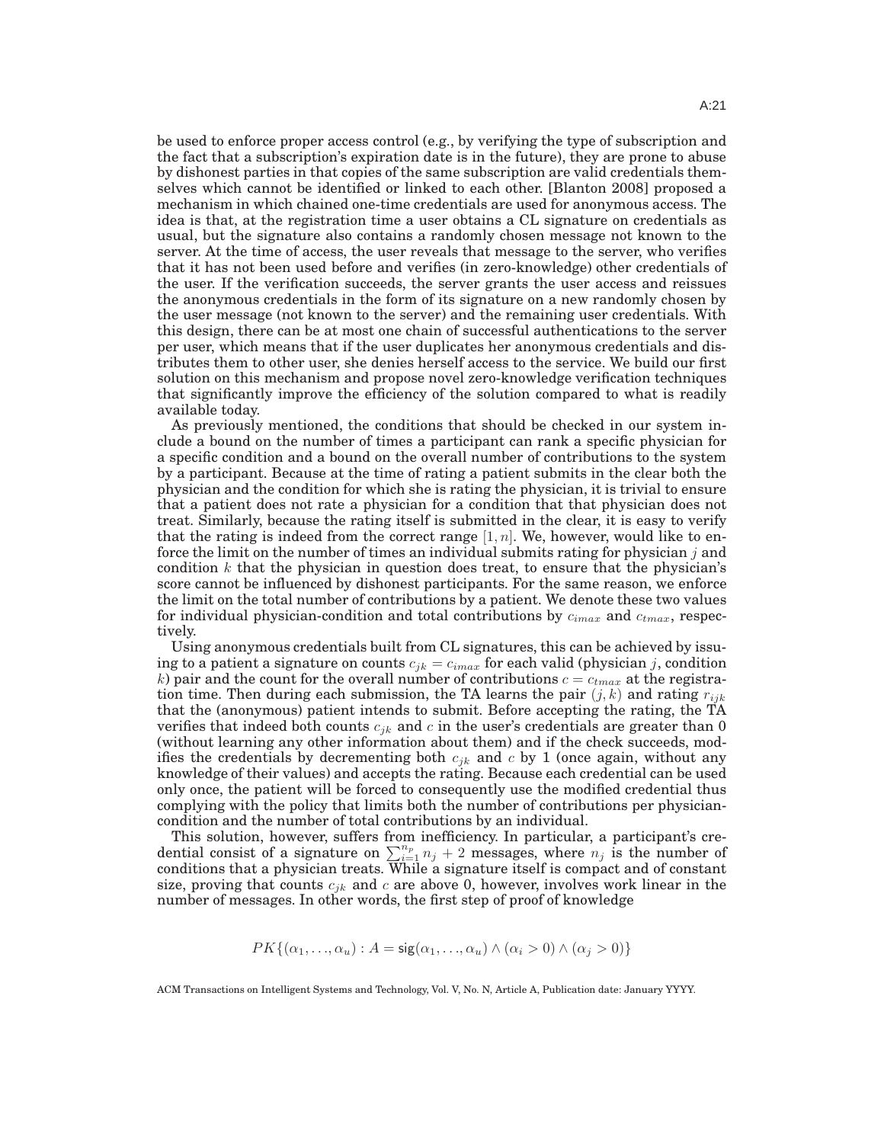be used to enforce proper access control (e.g., by verifying the type of subscription and the fact that a subscription's expiration date is in the future), they are prone to abuse by dishonest parties in that copies of the same subscription are valid credentials themselves which cannot be identified or linked to each other. [Blanton 2008] proposed a mechanism in which chained one-time credentials are used for anonymous access. The idea is that, at the registration time a user obtains a CL signature on credentials as usual, but the signature also contains a randomly chosen message not known to the server. At the time of access, the user reveals that message to the server, who verifies that it has not been used before and verifies (in zero-knowledge) other credentials of the user. If the verification succeeds, the server grants the user access and reissues the anonymous credentials in the form of its signature on a new randomly chosen by the user message (not known to the server) and the remaining user credentials. With this design, there can be at most one chain of successful authentications to the server per user, which means that if the user duplicates her anonymous credentials and distributes them to other user, she denies herself access to the service. We build our first solution on this mechanism and propose novel zero-knowledge verification techniques that significantly improve the efficiency of the solution compared to what is readily available today.

As previously mentioned, the conditions that should be checked in our system include a bound on the number of times a participant can rank a specific physician for a specific condition and a bound on the overall number of contributions to the system by a participant. Because at the time of rating a patient submits in the clear both the physician and the condition for which she is rating the physician, it is trivial to ensure that a patient does not rate a physician for a condition that that physician does not treat. Similarly, because the rating itself is submitted in the clear, it is easy to verify that the rating is indeed from the correct range  $[1, n]$ . We, however, would like to enforce the limit on the number of times an individual submits rating for physician  $j$  and condition  $k$  that the physician in question does treat, to ensure that the physician's score cannot be influenced by dishonest participants. For the same reason, we enforce the limit on the total number of contributions by a patient. We denote these two values for individual physician-condition and total contributions by  $c_{imax}$  and  $c_{tmax}$ , respectively.

Using anonymous credentials built from CL signatures, this can be achieved by issuing to a patient a signature on counts  $c_{jk} = c_{imax}$  for each valid (physician j, condition k) pair and the count for the overall number of contributions  $c = c_{tmax}$  at the registration time. Then during each submission, the TA learns the pair  $(j, k)$  and rating  $r_{ijk}$ that the (anonymous) patient intends to submit. Before accepting the rating, the TA verifies that indeed both counts  $c_{ik}$  and c in the user's credentials are greater than 0 (without learning any other information about them) and if the check succeeds, modifies the credentials by decrementing both  $c_{jk}$  and c by 1 (once again, without any knowledge of their values) and accepts the rating. Because each credential can be used only once, the patient will be forced to consequently use the modified credential thus complying with the policy that limits both the number of contributions per physiciancondition and the number of total contributions by an individual.

This solution, however, suffers from inefficiency. In particular, a participant's credential consist of a signature on  $\sum_{i=1}^{n_p} n_j + 2$  messages, where  $n_j$  is the number of conditions that a physician treats. While a signature itself is compact and of constant size, proving that counts  $c_{jk}$  and  $c$  are above 0, however, involves work linear in the number of messages. In other words, the first step of proof of knowledge

$$
PK\{(\alpha_1,\ldots,\alpha_u): A = \text{sig}(\alpha_1,\ldots,\alpha_u) \land (\alpha_i > 0) \land (\alpha_j > 0)\}
$$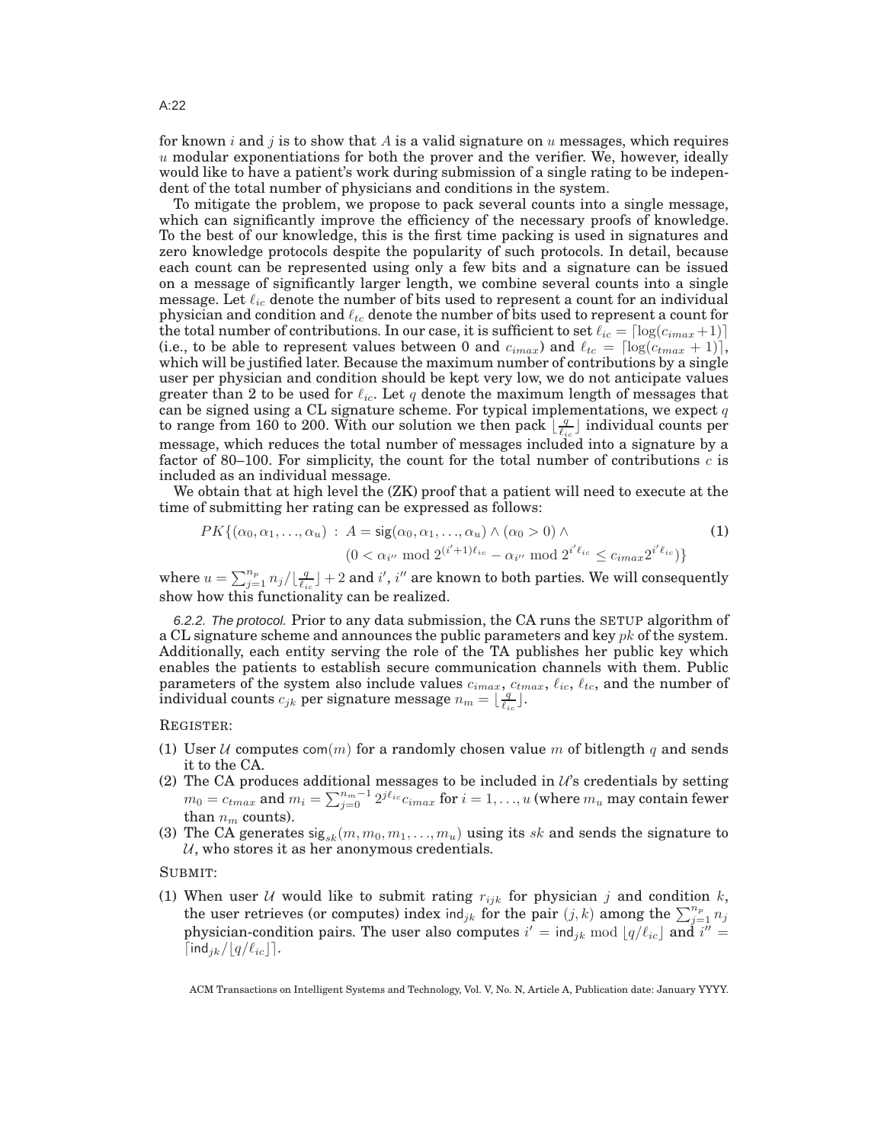for known i and j is to show that A is a valid signature on u messages, which requires  $u$  modular exponentiations for both the prover and the verifier. We, however, ideally would like to have a patient's work during submission of a single rating to be independent of the total number of physicians and conditions in the system.

To mitigate the problem, we propose to pack several counts into a single message, which can significantly improve the efficiency of the necessary proofs of knowledge. To the best of our knowledge, this is the first time packing is used in signatures and zero knowledge protocols despite the popularity of such protocols. In detail, because each count can be represented using only a few bits and a signature can be issued on a message of significantly larger length, we combine several counts into a single message. Let  $\ell_{ic}$  denote the number of bits used to represent a count for an individual physician and condition and  $\ell_{tc}$  denote the number of bits used to represent a count for the total number of contributions. In our case, it is sufficient to set  $\ell_{ic} = \lceil \log(c_{imax} + 1) \rceil$ (i.e., to be able to represent values between 0 and  $c_{i max}$ ) and  $\ell_{t c} = \lceil \log(c_{t max} + 1) \rceil$ , which will be justified later. Because the maximum number of contributions by a single user per physician and condition should be kept very low, we do not anticipate values greater than 2 to be used for  $\ell_{ic}$ . Let q denote the maximum length of messages that can be signed using a CL signature scheme. For typical implementations, we expect  $q$ to range from 160 to 200. With our solution we then pack  $\frac{q}{\ell_{ic}}$  individual counts per message, which reduces the total number of messages included into a signature by a factor of 80–100. For simplicity, the count for the total number of contributions  $c$  is included as an individual message.

We obtain that at high level the (ZK) proof that a patient will need to execute at the time of submitting her rating can be expressed as follows:

$$
PK\{(\alpha_0, \alpha_1, \ldots, \alpha_u) : A = \text{sig}(\alpha_0, \alpha_1, \ldots, \alpha_u) \land (\alpha_0 > 0) \land \tag{1}
$$
\n
$$
(0 < \alpha_{i''} \mod 2^{(i'+1)\ell_{ic}} - \alpha_{i''} \mod 2^{i'\ell_{ic}} \leq c_{imax} 2^{i'\ell_{ic}})\}
$$

where  $u=\sum_{j=1}^{n_p}n_j/\lfloor\frac{q}{\ell_{ic}}\rfloor+2$  and  $i',$   $i''$  are known to both parties. We will consequently show how this functionality can be realized.

6.2.2. The protocol. Prior to any data submission, the CA runs the SETUP algorithm of a CL signature scheme and announces the public parameters and key  $pk$  of the system. Additionally, each entity serving the role of the TA publishes her public key which enables the patients to establish secure communication channels with them. Public parameters of the system also include values  $c_{imax},\,c_{tmax},\,\ell_{ic},\,\ell_{tc},$  and the number of individual counts  $c_{jk}$  per signature message  $n_m = \lfloor \frac{q}{\ell_{ic}} \rfloor$ .

# REGISTER:

- (1) User U computes com(m) for a randomly chosen value m of bitlength q and sends it to the CA.
- (2) The CA produces additional messages to be included in  $U$ 's credentials by setting  $m_0=c_{tmax}$  and  $m_i=\sum_{j=0}^{n_m-1}2^{j\ell_{ic}}c_{imax}$  for  $i=1,\ldots,u$  (where  $m_u$  may contain fewer than  $n_m$  counts).
- (3) The CA generates  $sig_{sk}(m, m_0, m_1, \ldots, m_u)$  using its sk and sends the signature to  $U$ , who stores it as her anonymous credentials.

SUBMIT:

(1) When user U would like to submit rating  $r_{ijk}$  for physician j and condition k, the user retrieves (or computes) index  $\text{ind}_{jk}$  for the pair  $(j, k)$  among the  $\sum_{j=1}^{n_p} n_j$ physician-condition pairs. The user also computes  $i' = \text{ind}_{jk} \text{ mod } [q/\ell_{ic}]$  and  $i'' =$  $\lceil \mathsf{ind}_{jk}/\lceil q/\ell_{ic} \rceil \rceil$ .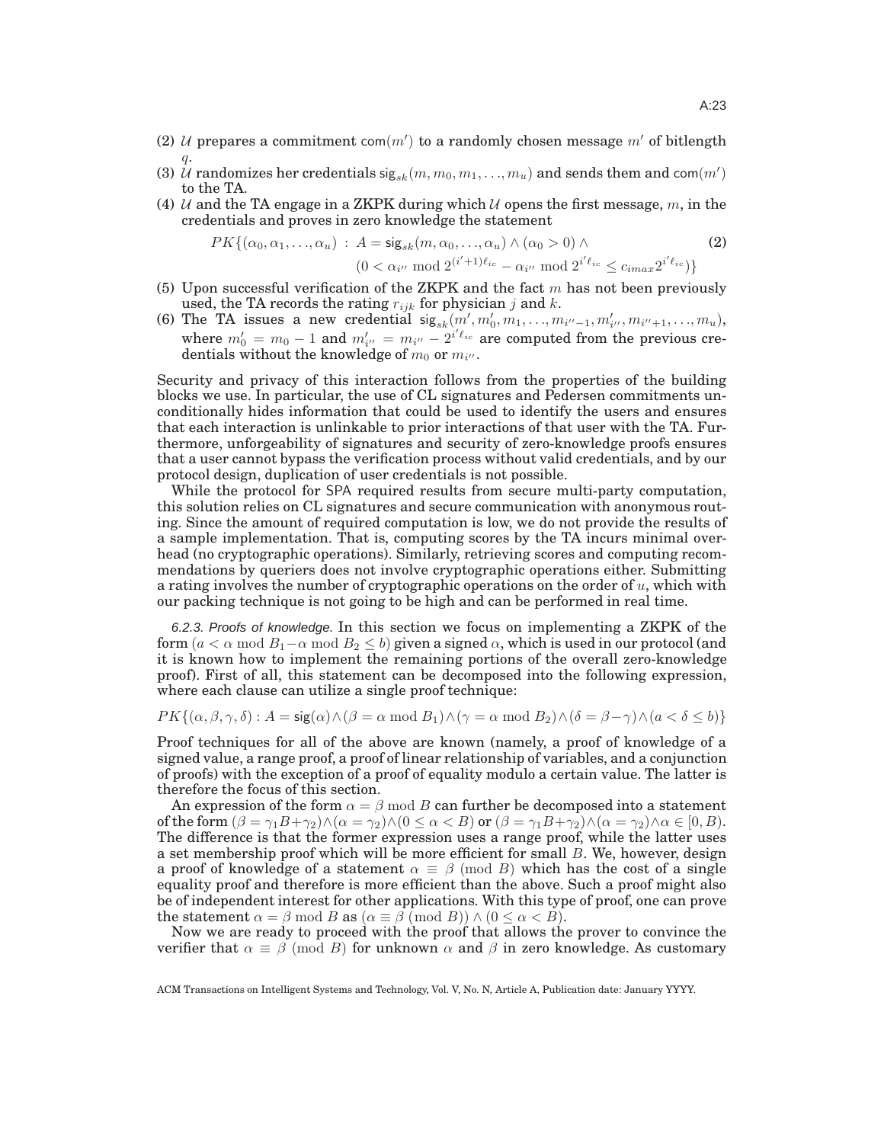- (2) U prepares a commitment com $(m')$  to a randomly chosen message  $m'$  of bitlength q.
- (3) U randomizes her credentials  $sig_{sk}(m, m_0, m_1, \ldots, m_u)$  and sends them and com $(m')$ to the TA.
- (4) U and the TA engage in a ZKPK during which U opens the first message,  $m$ , in the credentials and proves in zero knowledge the statement

$$
PK\{(\alpha_0, \alpha_1, \ldots, \alpha_u) : A = \text{sig}_{sk}(m, \alpha_0, \ldots, \alpha_u) \land (\alpha_0 > 0) \land \qquad (2)
$$
\n
$$
(0 < \alpha_{i''} \mod 2^{(i'+1)\ell_{ic}} - \alpha_{i''} \mod 2^{i'\ell_{ic}} \leq c_{imax} 2^{i'\ell_{ic}}) \}
$$

- (5) Upon successful verification of the ZKPK and the fact  $m$  has not been previously used, the TA records the rating  $r_{ijk}$  for physician j and k.
- (6) The TA issues a new credential  $sig_{sk}(m', m'_0, m_1, \ldots, m_{i''-1}, m'_{i''}, m_{i''+1}, \ldots, m_u)$ , where  $m'_0 = m_0 - 1$  and  $m'_{i''} = m_{i''} - 2^{i' \ell_{ic}}$  are computed from the previous credentials without the knowledge of  $m_0$  or  $m_{i^{\prime\prime}}$ .

Security and privacy of this interaction follows from the properties of the building blocks we use. In particular, the use of CL signatures and Pedersen commitments unconditionally hides information that could be used to identify the users and ensures that each interaction is unlinkable to prior interactions of that user with the TA. Furthermore, unforgeability of signatures and security of zero-knowledge proofs ensures that a user cannot bypass the verification process without valid credentials, and by our protocol design, duplication of user credentials is not possible.

While the protocol for SPA required results from secure multi-party computation, this solution relies on CL signatures and secure communication with anonymous routing. Since the amount of required computation is low, we do not provide the results of a sample implementation. That is, computing scores by the TA incurs minimal overhead (no cryptographic operations). Similarly, retrieving scores and computing recommendations by queriers does not involve cryptographic operations either. Submitting a rating involves the number of cryptographic operations on the order of u, which with our packing technique is not going to be high and can be performed in real time.

6.2.3. Proofs of knowledge. In this section we focus on implementing a ZKPK of the form ( $a < \alpha$  mod  $B_1 - \alpha$  mod  $B_2 \le b$ ) given a signed  $\alpha$ , which is used in our protocol (and it is known how to implement the remaining portions of the overall zero-knowledge proof). First of all, this statement can be decomposed into the following expression, where each clause can utilize a single proof technique:

$$
PK\{(\alpha,\beta,\gamma,\delta): A = \text{sig}(\alpha) \land (\beta = \alpha \text{ mod } B_1) \land (\gamma = \alpha \text{ mod } B_2) \land (\delta = \beta - \gamma) \land (a < \delta \le b)\}
$$

Proof techniques for all of the above are known (namely, a proof of knowledge of a signed value, a range proof, a proof of linear relationship of variables, and a conjunction of proofs) with the exception of a proof of equality modulo a certain value. The latter is therefore the focus of this section.

An expression of the form  $\alpha = \beta$  mod B can further be decomposed into a statement of the form  $(\beta = \gamma_1 B + \gamma_2) \wedge (\alpha = \gamma_2) \wedge (0 \leq \alpha < B)$  or  $(\beta = \gamma_1 B + \gamma_2) \wedge (\alpha = \gamma_2) \wedge \alpha \in [0, B)$ . The difference is that the former expression uses a range proof, while the latter uses a set membership proof which will be more efficient for small B. We, however, design a proof of knowledge of a statement  $\alpha \equiv \beta \pmod{B}$  which has the cost of a single equality proof and therefore is more efficient than the above. Such a proof might also be of independent interest for other applications. With this type of proof, one can prove the statement  $\alpha = \beta \mod B$  as  $(\alpha \equiv \beta \pmod{B}) \land (0 \leq \alpha < B)$ .

Now we are ready to proceed with the proof that allows the prover to convince the verifier that  $\alpha \equiv \beta \pmod{B}$  for unknown  $\alpha$  and  $\beta$  in zero knowledge. As customary

ACM Transactions on Intelligent Systems and Technology, Vol. V, No. N, Article A, Publication date: January YYYY.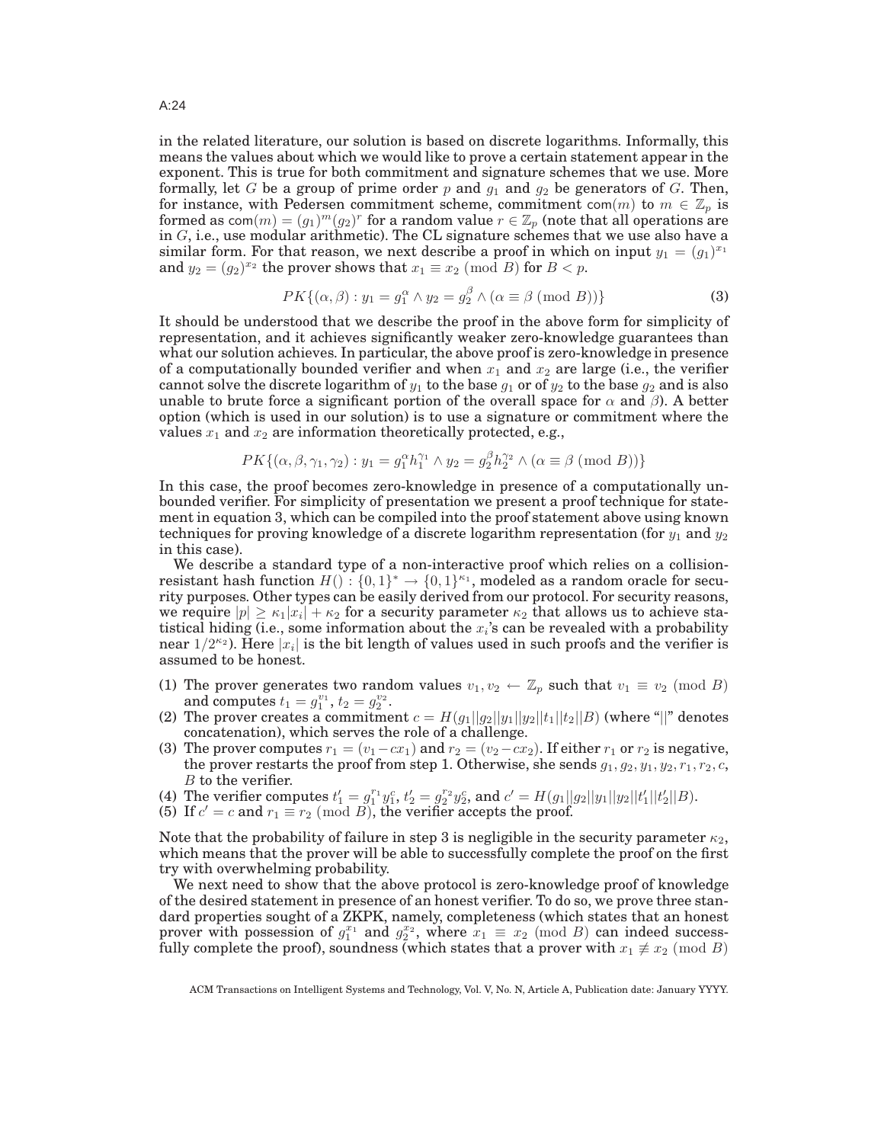in the related literature, our solution is based on discrete logarithms. Informally, this means the values about which we would like to prove a certain statement appear in the exponent. This is true for both commitment and signature schemes that we use. More formally, let G be a group of prime order p and  $g_1$  and  $g_2$  be generators of G. Then, for instance, with Pedersen commitment scheme, commitment com $(m)$  to  $m \in \mathbb{Z}_p$  is formed as  $\mathsf{com}(m) = (g_1)^m (g_2)^r$  for a random value  $r \in \mathbb{Z}_p$  (note that all operations are in  $G$ , i.e., use modular arithmetic). The CL signature schemes that we use also have a similar form. For that reason, we next describe a proof in which on input  $y_1 = (g_1)^{x_1}$ and  $y_2 = (g_2)^{x_2}$  the prover shows that  $x_1 \equiv x_2 \pmod{B}$  for  $B < p$ .

$$
PK\{(\alpha,\beta): y_1 = g_1^{\alpha} \wedge y_2 = g_2^{\beta} \wedge (\alpha \equiv \beta \pmod{B})\}
$$
 (3)

It should be understood that we describe the proof in the above form for simplicity of representation, and it achieves significantly weaker zero-knowledge guarantees than what our solution achieves. In particular, the above proof is zero-knowledge in presence of a computationally bounded verifier and when  $x_1$  and  $x_2$  are large (i.e., the verifier cannot solve the discrete logarithm of  $y_1$  to the base  $g_1$  or of  $y_2$  to the base  $g_2$  and is also unable to brute force a significant portion of the overall space for  $\alpha$  and  $\beta$ ). A better option (which is used in our solution) is to use a signature or commitment where the values  $x_1$  and  $x_2$  are information theoretically protected, e.g.,

$$
PK\{(\alpha, \beta, \gamma_1, \gamma_2) : y_1 = g_1^{\alpha} h_1^{\gamma_1} \wedge y_2 = g_2^{\beta} h_2^{\gamma_2} \wedge (\alpha \equiv \beta \pmod{B})\}
$$

In this case, the proof becomes zero-knowledge in presence of a computationally unbounded verifier. For simplicity of presentation we present a proof technique for statement in equation 3, which can be compiled into the proof statement above using known techniques for proving knowledge of a discrete logarithm representation (for  $y_1$  and  $y_2$ ) in this case).

We describe a standard type of a non-interactive proof which relies on a collisionresistant hash function  $H() : \{0,1\}^* \rightarrow \{0,1\}^{\kappa_1}$ , modeled as a random oracle for security purposes. Other types can be easily derived from our protocol. For security reasons, we require  $|p|\geq \kappa_1 |x_i| + \kappa_2$  for a security parameter  $\kappa_2$  that allows us to achieve statistical hiding (i.e., some information about the  $x_i$ 's can be revealed with a probability near  $1/2^{\kappa_2}$ ). Here  $|x_i|$  is the bit length of values used in such proofs and the verifier is assumed to be honest.

- (1) The prover generates two random values  $v_1, v_2 \leftarrow \mathbb{Z}_p$  such that  $v_1 \equiv v_2 \pmod{B}$ and computes  $t_1 = g_1^{v_1}$ ,  $t_2 = g_2^{v_2}$ .
- (2) The prover creates a commitment  $c = H(g_1||g_2||y_1||y_2||t_1||t_2||B)$  (where "||" denotes concatenation), which serves the role of a challenge.
- (3) The prover computes  $r_1 = (v_1 cx_1)$  and  $r_2 = (v_2 cx_2)$ . If either  $r_1$  or  $r_2$  is negative, the prover restarts the proof from step 1. Otherwise, she sends  $g_1, g_2, y_1, y_2, r_1, r_2, c$ , B to the verifier.
- (4) The verifier computes  $t'_1 = g_1^{r_1} y_1^c$ ,  $t'_2 = g_2^{r_2} y_2^c$ , and  $c' = H(g_1||g_2||y_1||y_2||t'_1||t'_2||B)$ .
- (5) If  $c' = c$  and  $r_1 \equiv r_2 \pmod{B}$ , the verifier accepts the proof.

Note that the probability of failure in step 3 is negligible in the security parameter  $\kappa_2$ , which means that the prover will be able to successfully complete the proof on the first try with overwhelming probability.

We next need to show that the above protocol is zero-knowledge proof of knowledge of the desired statement in presence of an honest verifier. To do so, we prove three standard properties sought of a ZKPK, namely, completeness (which states that an honest prover with possession of  $g_1^{x_1}$  and  $g_2^{x_2}$ , where  $x_1 \equiv x_2 \pmod{B}$  can indeed successfully complete the proof), soundness (which states that a prover with  $x_1 \not\equiv x_2 \pmod B$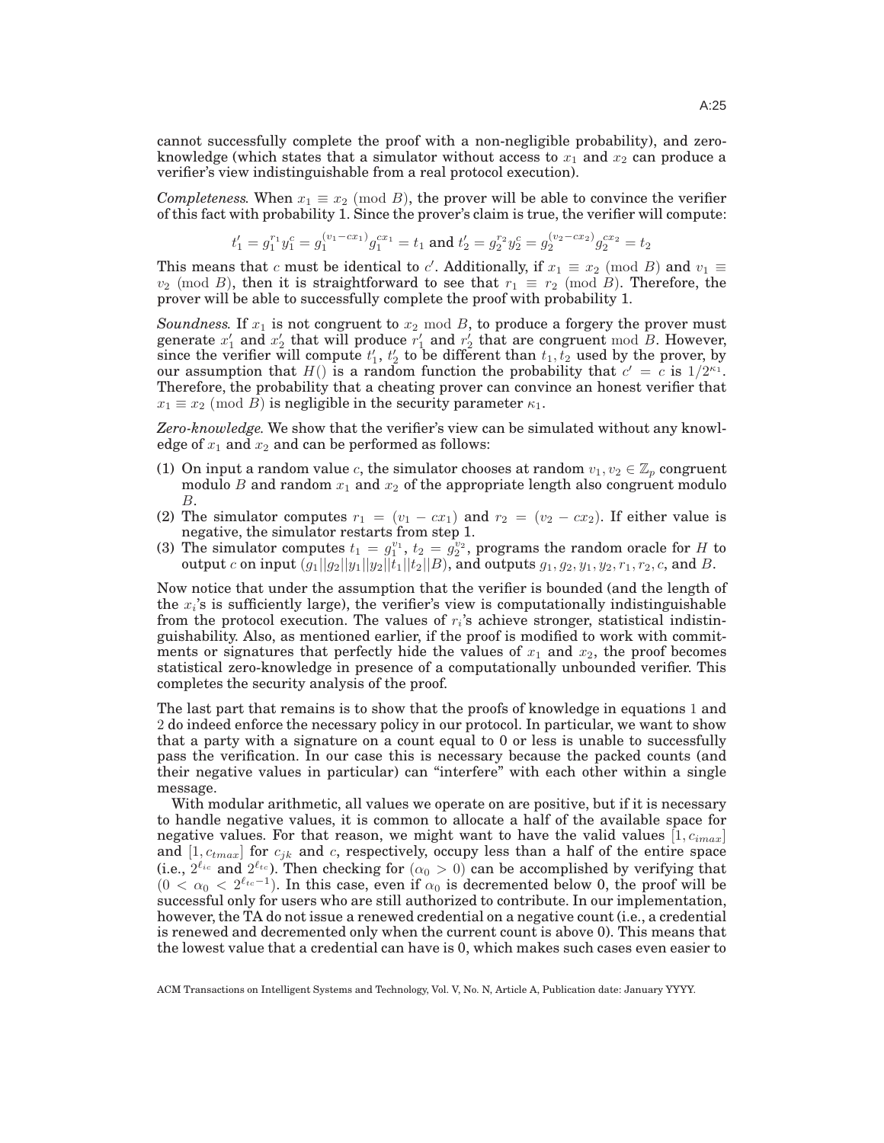cannot successfully complete the proof with a non-negligible probability), and zeroknowledge (which states that a simulator without access to  $x_1$  and  $x_2$  can produce a verifier's view indistinguishable from a real protocol execution).

*Completeness.* When  $x_1 \equiv x_2 \pmod{B}$ , the prover will be able to convince the verifier of this fact with probability 1. Since the prover's claim is true, the verifier will compute:

$$
t'_1 = g_1^{r_1} y_1^c = g_1^{(v_1 - cx_1)} g_1^{cx_1} = t_1
$$
 and  $t'_2 = g_2^{r_2} y_2^c = g_2^{(v_2 - cx_2)} g_2^{cx_2} = t_2$ 

This means that c must be identical to c'. Additionally, if  $x_1 \equiv x_2 \pmod{B}$  and  $v_1 \equiv x_2 \pmod{B}$  $v_2 \pmod{B}$ , then it is straightforward to see that  $r_1 \equiv r_2 \pmod{B}$ . Therefore, the prover will be able to successfully complete the proof with probability 1.

*Soundness.* If  $x_1$  is not congruent to  $x_2 \mod B$ , to produce a forgery the prover must generate  $x'_1$  and  $x'_2$  that will produce  $r'_1$  and  $r'_2$  that are congruent mod B. However, since the verifier will compute  $t'_1$ ,  $t'_2$  to be different than  $t_1, t_2$  used by the prover, by our assumption that  $H()$  is a random function the probability that  $c' = c$  is  $1/2^{\kappa_1}$ . Therefore, the probability that a cheating prover can convince an honest verifier that  $x_1 \equiv x_2 \pmod{B}$  is negligible in the security parameter  $\kappa_1$ .

*Zero-knowledge.* We show that the verifier's view can be simulated without any knowledge of  $x_1$  and  $x_2$  and can be performed as follows:

- (1) On input a random value c, the simulator chooses at random  $v_1, v_2 \in \mathbb{Z}_p$  congruent modulo B and random  $x_1$  and  $x_2$  of the appropriate length also congruent modulo B.
- (2) The simulator computes  $r_1 = (v_1 cx_1)$  and  $r_2 = (v_2 cx_2)$ . If either value is negative, the simulator restarts from step 1.
- (3) The simulator computes  $t_1 = g_1^{v_1}$ ,  $t_2 = g_2^{v_2}$ , programs the random oracle for H to output  $c$  on input  $(g_1||g_2||y_1||y_2||t_1||t_2||B)$ , and outputs  $g_1, g_2, y_1, y_2, r_1, r_2, c$ , and  $B$ .

Now notice that under the assumption that the verifier is bounded (and the length of the  $x_i$ 's is sufficiently large), the verifier's view is computationally indistinguishable from the protocol execution. The values of  $r_i$ 's achieve stronger, statistical indistinguishability. Also, as mentioned earlier, if the proof is modified to work with commitments or signatures that perfectly hide the values of  $x_1$  and  $x_2$ , the proof becomes statistical zero-knowledge in presence of a computationally unbounded verifier. This completes the security analysis of the proof.

The last part that remains is to show that the proofs of knowledge in equations 1 and 2 do indeed enforce the necessary policy in our protocol. In particular, we want to show that a party with a signature on a count equal to 0 or less is unable to successfully pass the verification. In our case this is necessary because the packed counts (and their negative values in particular) can "interfere" with each other within a single message.

With modular arithmetic, all values we operate on are positive, but if it is necessary to handle negative values, it is common to allocate a half of the available space for negative values. For that reason, we might want to have the valid values  $[1, c_{imax}]$ and  $[1, c<sub>tmax</sub>]$  for  $c<sub>jk</sub>$  and c, respectively, occupy less than a half of the entire space (i.e.,  $2^{\ell_{ic}}$  and  $2^{\ell_{tc}}$ ). Then checking for  $(\alpha_0 > 0)$  can be accomplished by verifying that  $(0 < \alpha_0 < 2^{\ell_{tc}-1})$ . In this case, even if  $\alpha_0$  is decremented below 0, the proof will be successful only for users who are still authorized to contribute. In our implementation, however, the TA do not issue a renewed credential on a negative count (i.e., a credential is renewed and decremented only when the current count is above 0). This means that the lowest value that a credential can have is 0, which makes such cases even easier to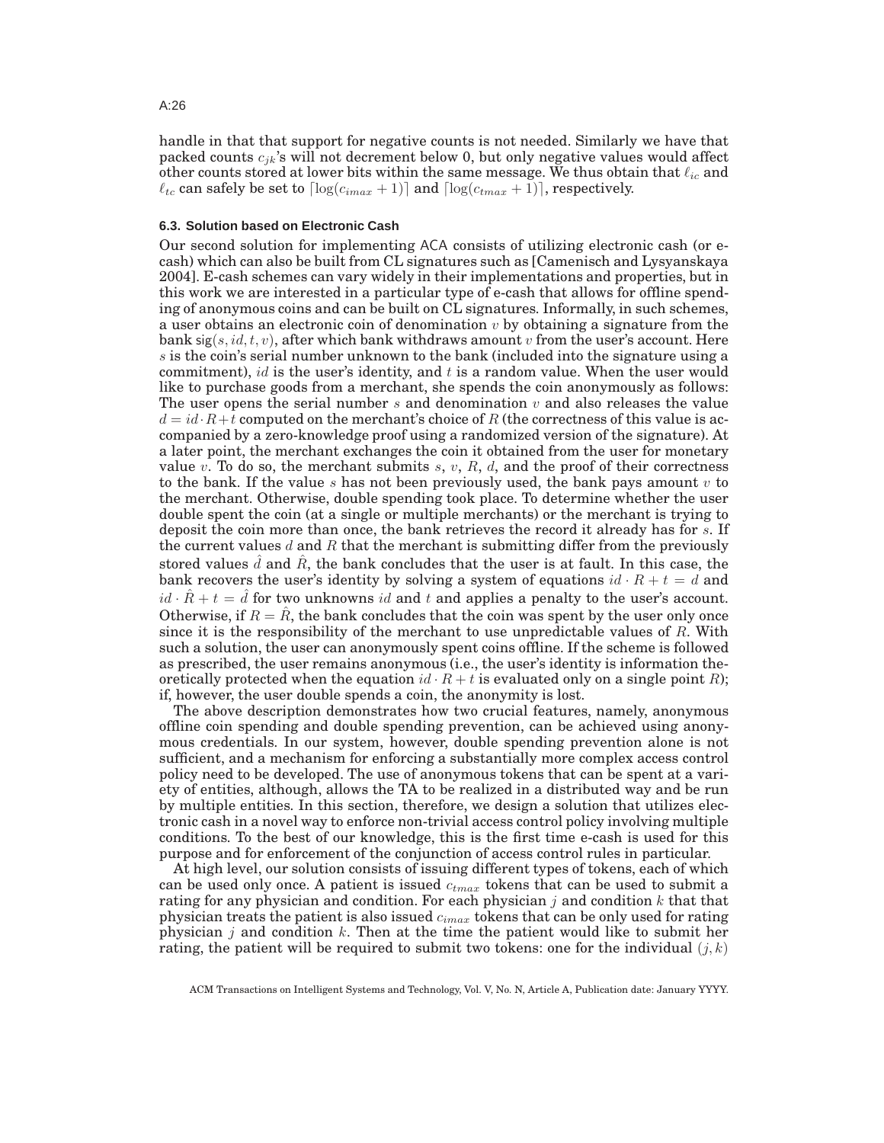handle in that that support for negative counts is not needed. Similarly we have that packed counts  $c_{jk}$ 's will not decrement below 0, but only negative values would affect other counts stored at lower bits within the same message. We thus obtain that  $\ell_{ic}$  and  $\ell_{tc}$  can safely be set to  $\lceil \log(c_{imax} + 1) \rceil$  and  $\lceil \log(c_{tmax} + 1) \rceil$ , respectively.

# **6.3. Solution based on Electronic Cash**

Our second solution for implementing ACA consists of utilizing electronic cash (or ecash) which can also be built from CL signatures such as [Camenisch and Lysyanskaya 2004]. E-cash schemes can vary widely in their implementations and properties, but in this work we are interested in a particular type of e-cash that allows for offline spending of anonymous coins and can be built on CL signatures. Informally, in such schemes, a user obtains an electronic coin of denomination  $v$  by obtaining a signature from the bank sig(s, id, t, v), after which bank withdraws amount v from the user's account. Here s is the coin's serial number unknown to the bank (included into the signature using a commitment),  $id$  is the user's identity, and  $t$  is a random value. When the user would like to purchase goods from a merchant, she spends the coin anonymously as follows: The user opens the serial number s and denomination  $v$  and also releases the value  $d = id \cdot R + t$  computed on the merchant's choice of R (the correctness of this value is accompanied by a zero-knowledge proof using a randomized version of the signature). At a later point, the merchant exchanges the coin it obtained from the user for monetary value v. To do so, the merchant submits  $s, v, R, d$ , and the proof of their correctness to the bank. If the value s has not been previously used, the bank pays amount  $v$  to the merchant. Otherwise, double spending took place. To determine whether the user double spent the coin (at a single or multiple merchants) or the merchant is trying to deposit the coin more than once, the bank retrieves the record it already has for s. If the current values  $d$  and  $R$  that the merchant is submitting differ from the previously stored values  $\hat{d}$  and  $\hat{R}$ , the bank concludes that the user is at fault. In this case, the bank recovers the user's identity by solving a system of equations  $id \cdot R + t = d$  and  $id \cdot \overline{R} + t = d$  for two unknowns id and t and applies a penalty to the user's account. Otherwise, if  $R = R$ , the bank concludes that the coin was spent by the user only once since it is the responsibility of the merchant to use unpredictable values of  $R$ . With such a solution, the user can anonymously spent coins offline. If the scheme is followed as prescribed, the user remains anonymous (i.e., the user's identity is information theoretically protected when the equation  $id \cdot R + t$  is evaluated only on a single point R); if, however, the user double spends a coin, the anonymity is lost.

The above description demonstrates how two crucial features, namely, anonymous offline coin spending and double spending prevention, can be achieved using anonymous credentials. In our system, however, double spending prevention alone is not sufficient, and a mechanism for enforcing a substantially more complex access control policy need to be developed. The use of anonymous tokens that can be spent at a variety of entities, although, allows the TA to be realized in a distributed way and be run by multiple entities. In this section, therefore, we design a solution that utilizes electronic cash in a novel way to enforce non-trivial access control policy involving multiple conditions. To the best of our knowledge, this is the first time e-cash is used for this purpose and for enforcement of the conjunction of access control rules in particular.

At high level, our solution consists of issuing different types of tokens, each of which can be used only once. A patient is issued  $c_{tmax}$  tokens that can be used to submit a rating for any physician and condition. For each physician  $j$  and condition  $k$  that that physician treats the patient is also issued  $c_{imax}$  tokens that can be only used for rating physician j and condition k. Then at the time the patient would like to submit her rating, the patient will be required to submit two tokens: one for the individual  $(i, k)$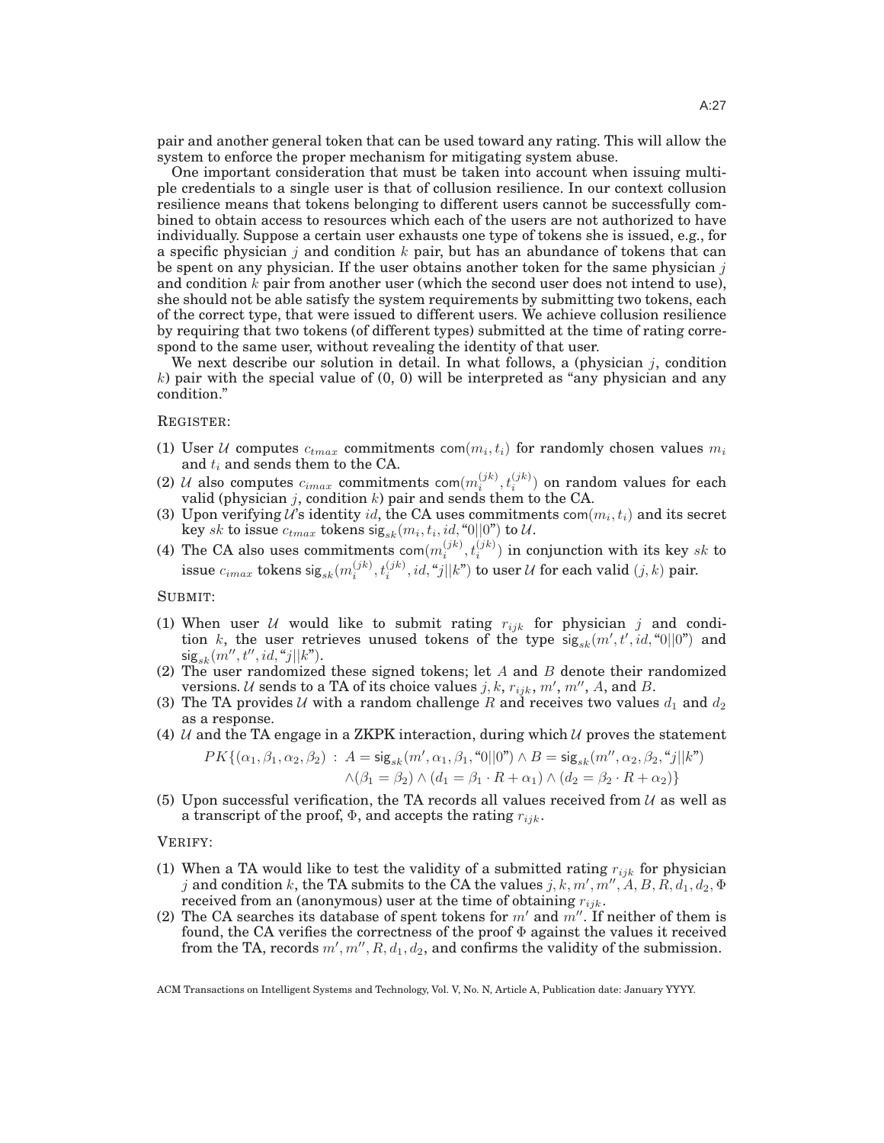pair and another general token that can be used toward any rating. This will allow the system to enforce the proper mechanism for mitigating system abuse.

One important consideration that must be taken into account when issuing multiple credentials to a single user is that of collusion resilience. In our context collusion resilience means that tokens belonging to different users cannot be successfully combined to obtain access to resources which each of the users are not authorized to have individually. Suppose a certain user exhausts one type of tokens she is issued, e.g., for a specific physician  $j$  and condition  $k$  pair, but has an abundance of tokens that can be spent on any physician. If the user obtains another token for the same physician  $j$ and condition  $k$  pair from another user (which the second user does not intend to use), she should not be able satisfy the system requirements by submitting two tokens, each of the correct type, that were issued to different users. We achieve collusion resilience by requiring that two tokens (of different types) submitted at the time of rating correspond to the same user, without revealing the identity of that user.

We next describe our solution in detail. In what follows, a (physician  $j$ , condition  $k$ ) pair with the special value of  $(0, 0)$  will be interpreted as "any physician and any condition."

### REGISTER:

- (1) User U computes  $c_{tmax}$  commitments com $(m_i, t_i)$  for randomly chosen values  $m_i$ and  $t_i$  and sends them to the CA.
- (2) U also computes  $c_{imax}$  commitments  $com(m_i^{(jk)}, t_i^{(jk)})$  on random values for each valid (physician  $j$ , condition  $k$ ) pair and sends them to the CA.
- (3) Upon verifying U's identity id, the CA uses commitments  $com(m_i, t_i)$  and its secret  $\text{key } sk \text{ to issue } c_{tmax} \text{ tokens } \text{sig}_{sk}(m_i, t_i, id, \text{``0} || 0 \text{''}) \text{ to } \mathcal{U}.$
- (4) The CA also uses commitments  $com(m_i^{(jk)}, t_i^{(jk)})$  in conjunction with its key sk to issue  $c_{imax}$  tokens  ${\sf sig}_{sk}(m_{i}^{(jk)},t_{i}^{(jk)},id,$ " $j||k$ ") to user  ${\cal U}$  for each valid  $(j,k)$  pair.

SUBMIT:

- (1) When user  $U$  would like to submit rating  $r_{ijk}$  for physician j and condition k, the user retrieves unused tokens of the type  $sig_{sk}(m', t', id, "0||0")$  and  $\textsf{sig}_{sk}(m'', t'', id, \text{``}j||k").$
- (2) The user randomized these signed tokens; let  $A$  and  $B$  denote their randomized versions.  $U$  sends to a TA of its choice values  $j, k, r_{ijk}, m', m'', A$ , and  $B$ .
- (3) The TA provides U with a random challenge R and receives two values  $d_1$  and  $d_2$ as a response.
- (4)  $U$  and the TA engage in a ZKPK interaction, during which  $U$  proves the statement

$$
PK\{(\alpha_1, \beta_1, \alpha_2, \beta_2) : A = \text{sig}_{sk}(m', \alpha_1, \beta_1, \text{``0||0''}) \land B = \text{sig}_{sk}(m'', \alpha_2, \beta_2, \text{``j||k''})
$$
  

$$
\land (\beta_1 = \beta_2) \land (d_1 = \beta_1 \cdot R + \alpha_1) \land (d_2 = \beta_2 \cdot R + \alpha_2)\}
$$

(5) Upon successful verification, the TA records all values received from  $U$  as well as a transcript of the proof,  $\Phi$ , and accepts the rating  $r_{ijk}$ .

VERIFY:

- (1) When a TA would like to test the validity of a submitted rating  $r_{ijk}$  for physician  $j$  and condition  $k$ , the TA submits to the CA the values  $j, k, m', m'', \v{A}, B, \bar{R}, d_1, d_2, \Phi$ received from an (anonymous) user at the time of obtaining  $r_{ijk}$ .
- (2) The CA searches its database of spent tokens for  $m'$  and  $m''$ . If neither of them is found, the CA verifies the correctness of the proof  $\Phi$  against the values it received from the TA, records  $m', m'', R, d_1, d_2$ , and confirms the validity of the submission.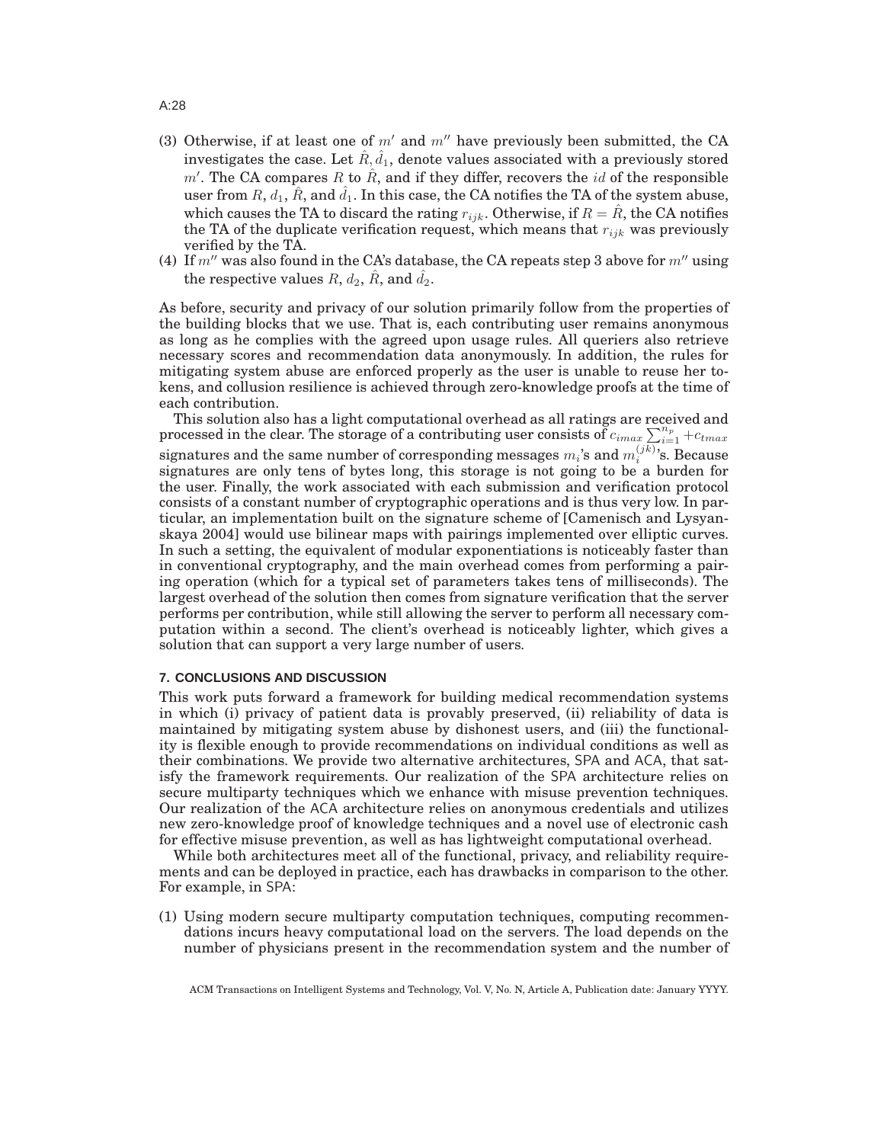- (3) Otherwise, if at least one of  $m'$  and  $m''$  have previously been submitted, the CA investigates the case. Let  $\hat{R}, \hat{d}_1$ , denote values associated with a previously stored  $m'$ . The CA compares R to  $\hat{R}$ , and if they differ, recovers the id of the responsible user from  $R$ ,  $d_1$ ,  $\hat{R}$ , and  $\hat{d_1}$ . In this case, the CA notifies the TA of the system abuse, which causes the TA to discard the rating  $r_{ijk}$ . Otherwise, if  $R = \hat{R}$ , the CA notifies the TA of the duplicate verification request, which means that  $r_{ijk}$  was previously verified by the TA.
- (4) If  $m''$  was also found in the CA's database, the CA repeats step 3 above for  $m''$  using the respective values R,  $d_2$ ,  $\hat{R}$ , and  $\hat{d}_2$ .

As before, security and privacy of our solution primarily follow from the properties of the building blocks that we use. That is, each contributing user remains anonymous as long as he complies with the agreed upon usage rules. All queriers also retrieve necessary scores and recommendation data anonymously. In addition, the rules for mitigating system abuse are enforced properly as the user is unable to reuse her tokens, and collusion resilience is achieved through zero-knowledge proofs at the time of each contribution.

This solution also has a light computational overhead as all ratings are received and processed in the clear. The storage of a contributing user consists of  $c_{imax} \sum_{i=1}^{n_p} + c_{tmax}$ signatures and the same number of corresponding messages  $m_i$ 's and  $m_i^{(jk)}$ 's. Because signatures are only tens of bytes long, this storage is not going to be a burden for the user. Finally, the work associated with each submission and verification protocol consists of a constant number of cryptographic operations and is thus very low. In particular, an implementation built on the signature scheme of [Camenisch and Lysyanskaya 2004] would use bilinear maps with pairings implemented over elliptic curves. In such a setting, the equivalent of modular exponentiations is noticeably faster than in conventional cryptography, and the main overhead comes from performing a pairing operation (which for a typical set of parameters takes tens of milliseconds). The largest overhead of the solution then comes from signature verification that the server performs per contribution, while still allowing the server to perform all necessary computation within a second. The client's overhead is noticeably lighter, which gives a solution that can support a very large number of users.

### **7. CONCLUSIONS AND DISCUSSION**

This work puts forward a framework for building medical recommendation systems in which (i) privacy of patient data is provably preserved, (ii) reliability of data is maintained by mitigating system abuse by dishonest users, and (iii) the functionality is flexible enough to provide recommendations on individual conditions as well as their combinations. We provide two alternative architectures, SPA and ACA, that satisfy the framework requirements. Our realization of the SPA architecture relies on secure multiparty techniques which we enhance with misuse prevention techniques. Our realization of the ACA architecture relies on anonymous credentials and utilizes new zero-knowledge proof of knowledge techniques and a novel use of electronic cash for effective misuse prevention, as well as has lightweight computational overhead.

While both architectures meet all of the functional, privacy, and reliability requirements and can be deployed in practice, each has drawbacks in comparison to the other. For example, in SPA:

(1) Using modern secure multiparty computation techniques, computing recommendations incurs heavy computational load on the servers. The load depends on the number of physicians present in the recommendation system and the number of

ACM Transactions on Intelligent Systems and Technology, Vol. V, No. N, Article A, Publication date: January YYYY.

A:28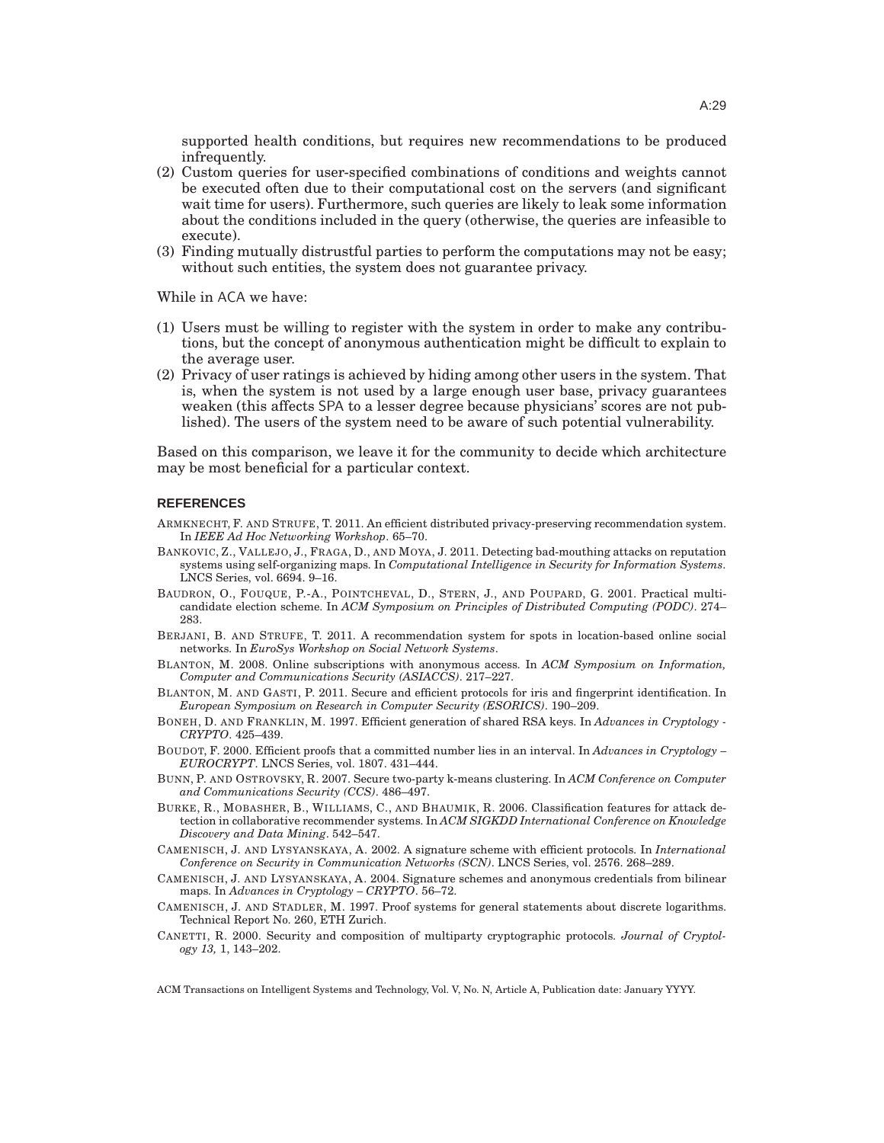supported health conditions, but requires new recommendations to be produced infrequently.

- (2) Custom queries for user-specified combinations of conditions and weights cannot be executed often due to their computational cost on the servers (and significant wait time for users). Furthermore, such queries are likely to leak some information about the conditions included in the query (otherwise, the queries are infeasible to execute).
- (3) Finding mutually distrustful parties to perform the computations may not be easy; without such entities, the system does not guarantee privacy.

While in ACA we have:

- (1) Users must be willing to register with the system in order to make any contributions, but the concept of anonymous authentication might be difficult to explain to the average user.
- (2) Privacy of user ratings is achieved by hiding among other users in the system. That is, when the system is not used by a large enough user base, privacy guarantees weaken (this affects SPA to a lesser degree because physicians' scores are not published). The users of the system need to be aware of such potential vulnerability.

Based on this comparison, we leave it for the community to decide which architecture may be most beneficial for a particular context.

### **REFERENCES**

- ARMKNECHT, F. AND STRUFE, T. 2011. An efficient distributed privacy-preserving recommendation system. In *IEEE Ad Hoc Networking Workshop*. 65–70.
- BANKOVIC, Z., VALLEJO, J., FRAGA, D., AND MOYA, J. 2011. Detecting bad-mouthing attacks on reputation systems using self-organizing maps. In *Computational Intelligence in Security for Information Systems*. LNCS Series, vol. 6694. 9–16.
- BAUDRON, O., FOUQUE, P.-A., POINTCHEVAL, D., STERN, J., AND POUPARD, G. 2001. Practical multicandidate election scheme. In *ACM Symposium on Principles of Distributed Computing (PODC)*. 274– 283.
- BERJANI, B. AND STRUFE, T. 2011. A recommendation system for spots in location-based online social networks. In *EuroSys Workshop on Social Network Systems*.
- BLANTON, M. 2008. Online subscriptions with anonymous access. In *ACM Symposium on Information, Computer and Communications Security (ASIACCS)*. 217–227.
- BLANTON, M. AND GASTI, P. 2011. Secure and efficient protocols for iris and fingerprint identification. In *European Symposium on Research in Computer Security (ESORICS)*. 190–209.
- BONEH, D. AND FRANKLIN, M. 1997. Efficient generation of shared RSA keys. In *Advances in Cryptology - CRYPTO*. 425–439.
- BOUDOT, F. 2000. Efficient proofs that a committed number lies in an interval. In *Advances in Cryptology – EUROCRYPT*. LNCS Series, vol. 1807. 431–444.
- BUNN, P. AND OSTROVSKY, R. 2007. Secure two-party k-means clustering. In *ACM Conference on Computer and Communications Security (CCS)*. 486–497.
- BURKE, R., MOBASHER, B., WILLIAMS, C., AND BHAUMIK, R. 2006. Classification features for attack detection in collaborative recommender systems. In *ACM SIGKDD International Conference on Knowledge Discovery and Data Mining*. 542–547.
- CAMENISCH, J. AND LYSYANSKAYA, A. 2002. A signature scheme with efficient protocols. In *International Conference on Security in Communication Networks (SCN)*. LNCS Series, vol. 2576. 268–289.
- CAMENISCH, J. AND LYSYANSKAYA, A. 2004. Signature schemes and anonymous credentials from bilinear maps. In *Advances in Cryptology – CRYPTO*. 56–72.
- CAMENISCH, J. AND STADLER, M. 1997. Proof systems for general statements about discrete logarithms. Technical Report No. 260, ETH Zurich.
- CANETTI, R. 2000. Security and composition of multiparty cryptographic protocols. *Journal of Cryptology 13,* 1, 143–202.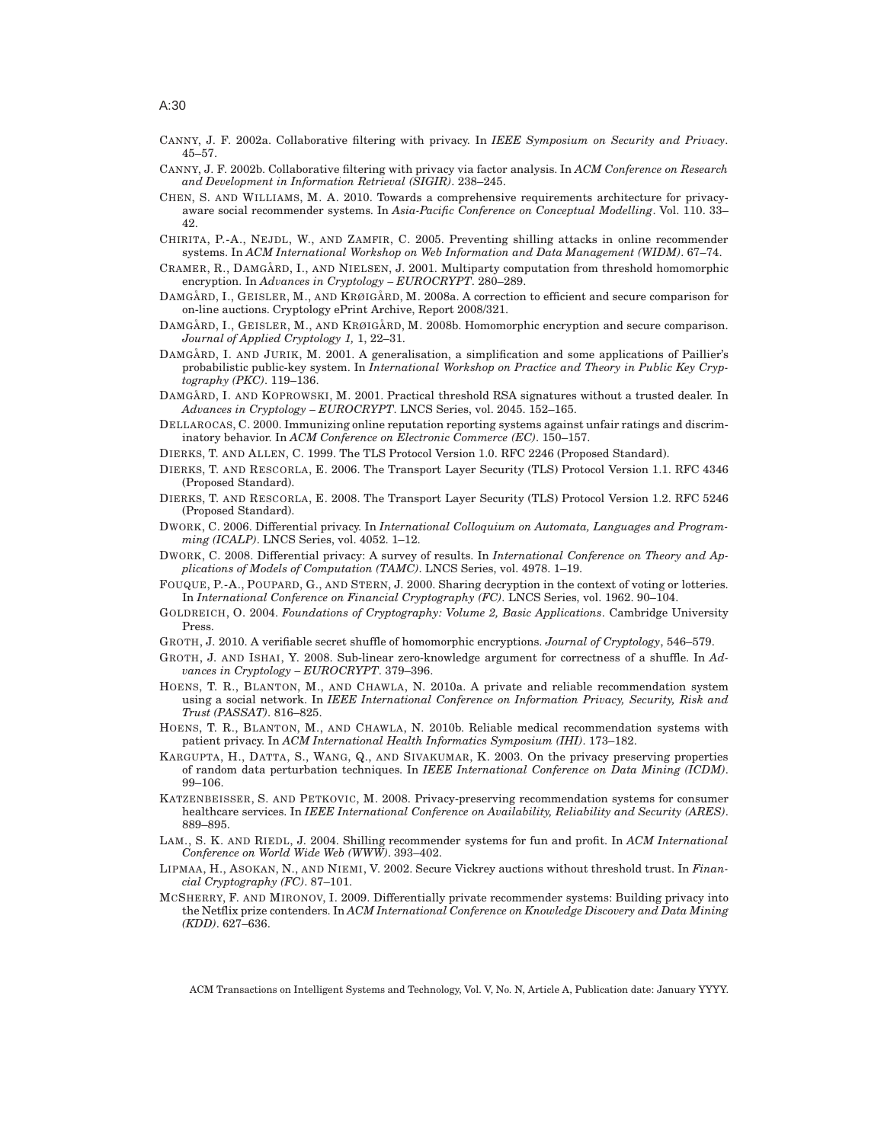- CANNY, J. F. 2002a. Collaborative filtering with privacy. In *IEEE Symposium on Security and Privacy*. 45–57.
- CANNY, J. F. 2002b. Collaborative filtering with privacy via factor analysis. In *ACM Conference on Research and Development in Information Retrieval (SIGIR)*. 238–245.
- CHEN, S. AND WILLIAMS, M. A. 2010. Towards a comprehensive requirements architecture for privacyaware social recommender systems. In *Asia-Pacific Conference on Conceptual Modelling*. Vol. 110. 33– 42.
- CHIRITA, P.-A., NEJDL, W., AND ZAMFIR, C. 2005. Preventing shilling attacks in online recommender systems. In *ACM International Workshop on Web Information and Data Management (WIDM)*. 67–74.
- CRAMER, R., DAMGÅRD, I., AND NIELSEN, J. 2001. Multiparty computation from threshold homomorphic encryption. In *Advances in Cryptology – EUROCRYPT*. 280–289.
- DAMGÅRD, I., GEISLER, M., AND KRØIGÅRD, M. 2008a. A correction to efficient and secure comparison for on-line auctions. Cryptology ePrint Archive, Report 2008/321.
- DAMGÅRD, I., GEISLER, M., AND KRØIGÅRD, M. 2008b. Homomorphic encryption and secure comparison. *Journal of Applied Cryptology 1,* 1, 22–31.
- DAMGÅRD, I. AND JURIK, M. 2001. A generalisation, a simplification and some applications of Paillier's probabilistic public-key system. In *International Workshop on Practice and Theory in Public Key Cryptography (PKC)*. 119–136.
- DAMGÅRD, I. AND KOPROWSKI, M. 2001. Practical threshold RSA signatures without a trusted dealer. In *Advances in Cryptology – EUROCRYPT*. LNCS Series, vol. 2045. 152–165.
- DELLAROCAS, C. 2000. Immunizing online reputation reporting systems against unfair ratings and discriminatory behavior. In *ACM Conference on Electronic Commerce (EC)*. 150–157.
- DIERKS, T. AND ALLEN, C. 1999. The TLS Protocol Version 1.0. RFC 2246 (Proposed Standard).
- DIERKS, T. AND RESCORLA, E. 2006. The Transport Layer Security (TLS) Protocol Version 1.1. RFC 4346 (Proposed Standard).
- DIERKS, T. AND RESCORLA, E. 2008. The Transport Layer Security (TLS) Protocol Version 1.2. RFC 5246 (Proposed Standard).
- DWORK, C. 2006. Differential privacy. In *International Colloquium on Automata, Languages and Programming (ICALP)*. LNCS Series, vol. 4052. 1–12.
- DWORK, C. 2008. Differential privacy: A survey of results. In *International Conference on Theory and Applications of Models of Computation (TAMC)*. LNCS Series, vol. 4978. 1–19.
- FOUQUE, P.-A., POUPARD, G., AND STERN, J. 2000. Sharing decryption in the context of voting or lotteries. In *International Conference on Financial Cryptography (FC)*. LNCS Series, vol. 1962. 90–104.
- GOLDREICH, O. 2004. *Foundations of Cryptography: Volume 2, Basic Applications*. Cambridge University Press.
- GROTH, J. 2010. A verifiable secret shuffle of homomorphic encryptions. *Journal of Cryptology*, 546–579.
- GROTH, J. AND ISHAI, Y. 2008. Sub-linear zero-knowledge argument for correctness of a shuffle. In *Advances in Cryptology – EUROCRYPT*. 379–396.
- HOENS, T. R., BLANTON, M., AND CHAWLA, N. 2010a. A private and reliable recommendation system using a social network. In *IEEE International Conference on Information Privacy, Security, Risk and Trust (PASSAT)*. 816–825.
- HOENS, T. R., BLANTON, M., AND CHAWLA, N. 2010b. Reliable medical recommendation systems with patient privacy. In *ACM International Health Informatics Symposium (IHI)*. 173–182.
- KARGUPTA, H., DATTA, S., WANG, Q., AND SIVAKUMAR, K. 2003. On the privacy preserving properties of random data perturbation techniques. In *IEEE International Conference on Data Mining (ICDM)*. 99–106.
- KATZENBEISSER, S. AND PETKOVIC, M. 2008. Privacy-preserving recommendation systems for consumer healthcare services. In *IEEE International Conference on Availability, Reliability and Security (ARES)*. 889–895.
- LAM., S. K. AND RIEDL, J. 2004. Shilling recommender systems for fun and profit. In *ACM International Conference on World Wide Web (WWW)*. 393–402.
- LIPMAA, H., ASOKAN, N., AND NIEMI, V. 2002. Secure Vickrey auctions without threshold trust. In *Financial Cryptography (FC)*. 87–101.
- MCSHERRY, F. AND MIRONOV, I. 2009. Differentially private recommender systems: Building privacy into the Netflix prize contenders. In *ACM International Conference on Knowledge Discovery and Data Mining (KDD)*. 627–636.